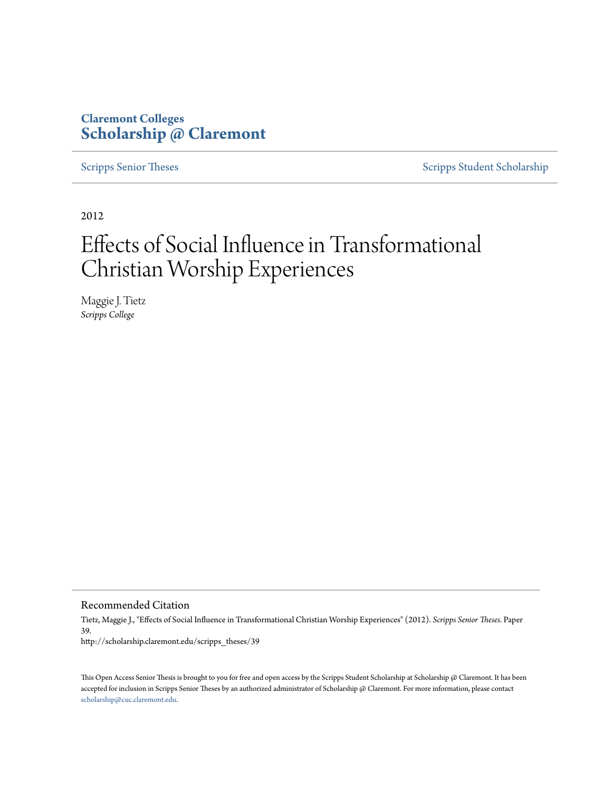## **Claremont Colleges [Scholarship @ Claremont](http://scholarship.claremont.edu)**

[Scripps Senior Theses](http://scholarship.claremont.edu/scripps_theses) [Scripps Student Scholarship](http://scholarship.claremont.edu/scripps_student)

2012

# Effects of Social Influence in Transformational Christian Worship Experiences

Maggie J. Tietz *Scripps College*

Recommended Citation

Tietz, Maggie J., "Effects of Social Influence in Transformational Christian Worship Experiences" (2012). *Scripps Senior Theses.* Paper 39. http://scholarship.claremont.edu/scripps\_theses/39

This Open Access Senior Thesis is brought to you for free and open access by the Scripps Student Scholarship at Scholarship @ Claremont. It has been accepted for inclusion in Scripps Senior Theses by an authorized administrator of Scholarship @ Claremont. For more information, please contact [scholarship@cuc.claremont.edu.](mailto:scholarship@cuc.claremont.edu)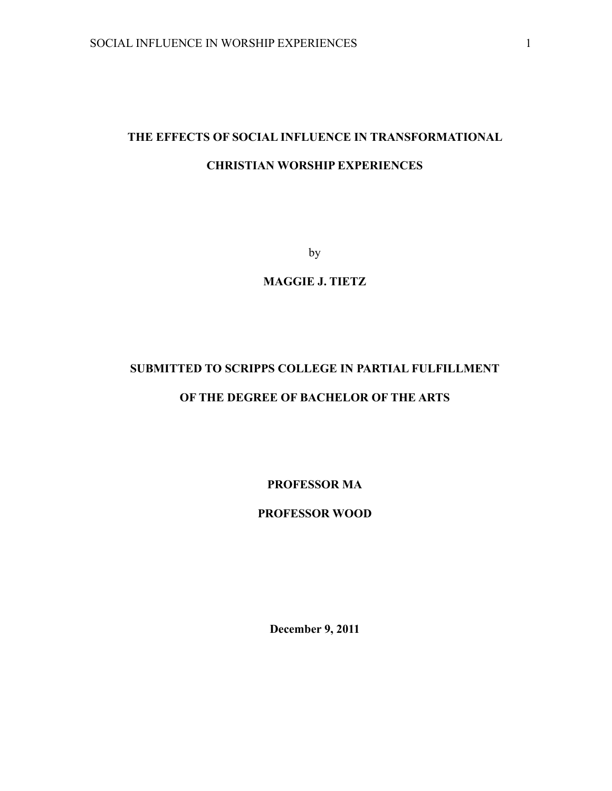## **THE EFFECTS OF SOCIAL INFLUENCE IN TRANSFORMATIONAL CHRISTIAN WORSHIP EXPERIENCES**

by

**MAGGIE J. TIETZ**

## **SUBMITTED TO SCRIPPS COLLEGE IN PARTIAL FULFILLMENT**

### **OF THE DEGREE OF BACHELOR OF THE ARTS**

**PROFESSOR MA**

**PROFESSOR WOOD**

**December 9, 2011**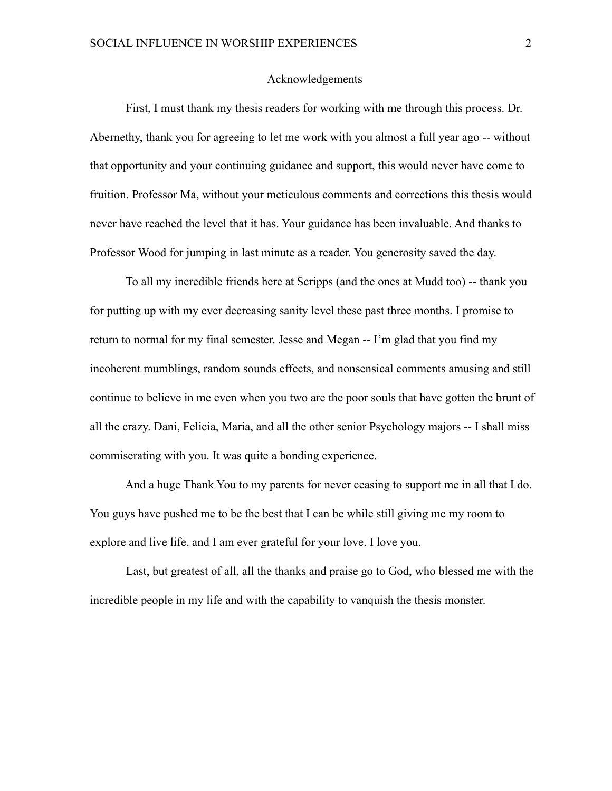#### Acknowledgements

 First, I must thank my thesis readers for working with me through this process. Dr. Abernethy, thank you for agreeing to let me work with you almost a full year ago -- without that opportunity and your continuing guidance and support, this would never have come to fruition. Professor Ma, without your meticulous comments and corrections this thesis would never have reached the level that it has. Your guidance has been invaluable. And thanks to Professor Wood for jumping in last minute as a reader. You generosity saved the day.

 To all my incredible friends here at Scripps (and the ones at Mudd too) -- thank you for putting up with my ever decreasing sanity level these past three months. I promise to return to normal for my final semester. Jesse and Megan -- I'm glad that you find my incoherent mumblings, random sounds effects, and nonsensical comments amusing and still continue to believe in me even when you two are the poor souls that have gotten the brunt of all the crazy. Dani, Felicia, Maria, and all the other senior Psychology majors -- I shall miss commiserating with you. It was quite a bonding experience.

 And a huge Thank You to my parents for never ceasing to support me in all that I do. You guys have pushed me to be the best that I can be while still giving me my room to explore and live life, and I am ever grateful for your love. I love you.

 Last, but greatest of all, all the thanks and praise go to God, who blessed me with the incredible people in my life and with the capability to vanquish the thesis monster.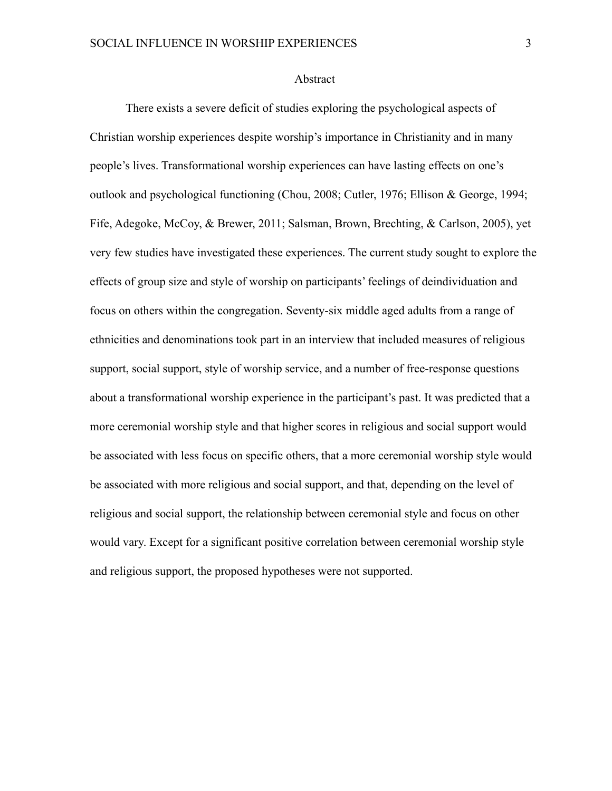#### Abstract

 There exists a severe deficit of studies exploring the psychological aspects of Christian worship experiences despite worship's importance in Christianity and in many people's lives. Transformational worship experiences can have lasting effects on one's outlook and psychological functioning (Chou, 2008; Cutler, 1976; Ellison & George, 1994; Fife, Adegoke, McCoy, & Brewer, 2011; Salsman, Brown, Brechting, & Carlson, 2005), yet very few studies have investigated these experiences. The current study sought to explore the effects of group size and style of worship on participants' feelings of deindividuation and focus on others within the congregation. Seventy-six middle aged adults from a range of ethnicities and denominations took part in an interview that included measures of religious support, social support, style of worship service, and a number of free-response questions about a transformational worship experience in the participant's past. It was predicted that a more ceremonial worship style and that higher scores in religious and social support would be associated with less focus on specific others, that a more ceremonial worship style would be associated with more religious and social support, and that, depending on the level of religious and social support, the relationship between ceremonial style and focus on other would vary. Except for a significant positive correlation between ceremonial worship style and religious support, the proposed hypotheses were not supported.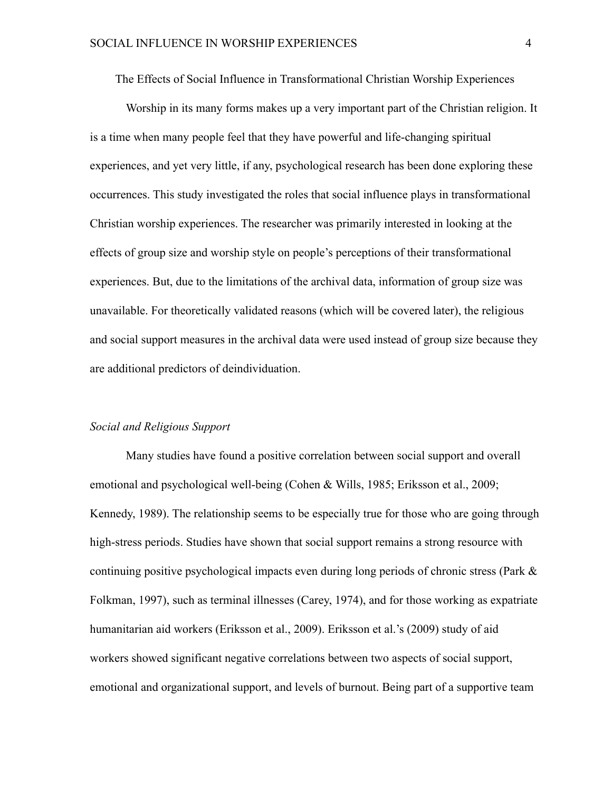The Effects of Social Influence in Transformational Christian Worship Experiences

Worship in its many forms makes up a very important part of the Christian religion. It is a time when many people feel that they have powerful and life-changing spiritual experiences, and yet very little, if any, psychological research has been done exploring these occurrences. This study investigated the roles that social influence plays in transformational Christian worship experiences. The researcher was primarily interested in looking at the effects of group size and worship style on people's perceptions of their transformational experiences. But, due to the limitations of the archival data, information of group size was unavailable. For theoretically validated reasons (which will be covered later), the religious and social support measures in the archival data were used instead of group size because they are additional predictors of deindividuation.

#### *Social and Religious Support*

 Many studies have found a positive correlation between social support and overall emotional and psychological well-being (Cohen & Wills, 1985; Eriksson et al., 2009; Kennedy, 1989). The relationship seems to be especially true for those who are going through high-stress periods. Studies have shown that social support remains a strong resource with continuing positive psychological impacts even during long periods of chronic stress (Park & Folkman, 1997), such as terminal illnesses (Carey, 1974), and for those working as expatriate humanitarian aid workers (Eriksson et al., 2009). Eriksson et al.'s (2009) study of aid workers showed significant negative correlations between two aspects of social support, emotional and organizational support, and levels of burnout. Being part of a supportive team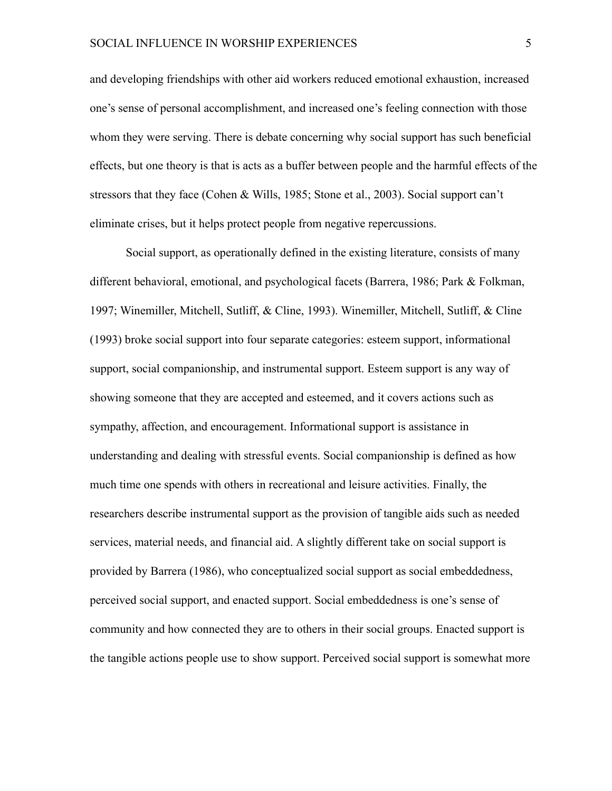and developing friendships with other aid workers reduced emotional exhaustion, increased one's sense of personal accomplishment, and increased one's feeling connection with those whom they were serving. There is debate concerning why social support has such beneficial effects, but one theory is that is acts as a buffer between people and the harmful effects of the stressors that they face (Cohen & Wills, 1985; Stone et al., 2003). Social support can't eliminate crises, but it helps protect people from negative repercussions.

Social support, as operationally defined in the existing literature, consists of many different behavioral, emotional, and psychological facets (Barrera, 1986; Park & Folkman, 1997; Winemiller, Mitchell, Sutliff, & Cline, 1993). Winemiller, Mitchell, Sutliff, & Cline (1993) broke social support into four separate categories: esteem support, informational support, social companionship, and instrumental support. Esteem support is any way of showing someone that they are accepted and esteemed, and it covers actions such as sympathy, affection, and encouragement. Informational support is assistance in understanding and dealing with stressful events. Social companionship is defined as how much time one spends with others in recreational and leisure activities. Finally, the researchers describe instrumental support as the provision of tangible aids such as needed services, material needs, and financial aid. A slightly different take on social support is provided by Barrera (1986), who conceptualized social support as social embeddedness, perceived social support, and enacted support. Social embeddedness is one's sense of community and how connected they are to others in their social groups. Enacted support is the tangible actions people use to show support. Perceived social support is somewhat more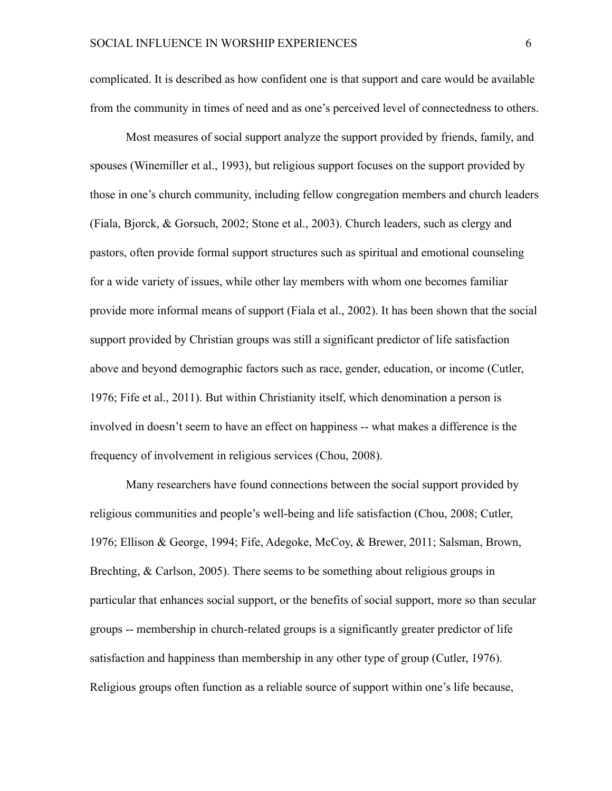complicated. It is described as how confident one is that support and care would be available from the community in times of need and as one's perceived level of connectedness to others.

Most measures of social support analyze the support provided by friends, family, and spouses (Winemiller et al., 1993), but religious support focuses on the support provided by those in one's church community, including fellow congregation members and church leaders (Fiala, Bjorck, & Gorsuch, 2002; Stone et al., 2003). Church leaders, such as clergy and pastors, often provide formal support structures such as spiritual and emotional counseling for a wide variety of issues, while other lay members with whom one becomes familiar provide more informal means of support (Fiala et al., 2002). It has been shown that the social support provided by Christian groups was still a significant predictor of life satisfaction above and beyond demographic factors such as race, gender, education, or income (Cutler, 1976; Fife et al., 2011). But within Christianity itself, which denomination a person is involved in doesn't seem to have an effect on happiness -- what makes a difference is the frequency of involvement in religious services (Chou, 2008).

 Many researchers have found connections between the social support provided by religious communities and people's well-being and life satisfaction (Chou, 2008; Cutler, 1976; Ellison & George, 1994; Fife, Adegoke, McCoy, & Brewer, 2011; Salsman, Brown, Brechting, & Carlson, 2005). There seems to be something about religious groups in particular that enhances social support, or the benefits of social support, more so than secular groups -- membership in church-related groups is a significantly greater predictor of life satisfaction and happiness than membership in any other type of group (Cutler, 1976). Religious groups often function as a reliable source of support within one's life because,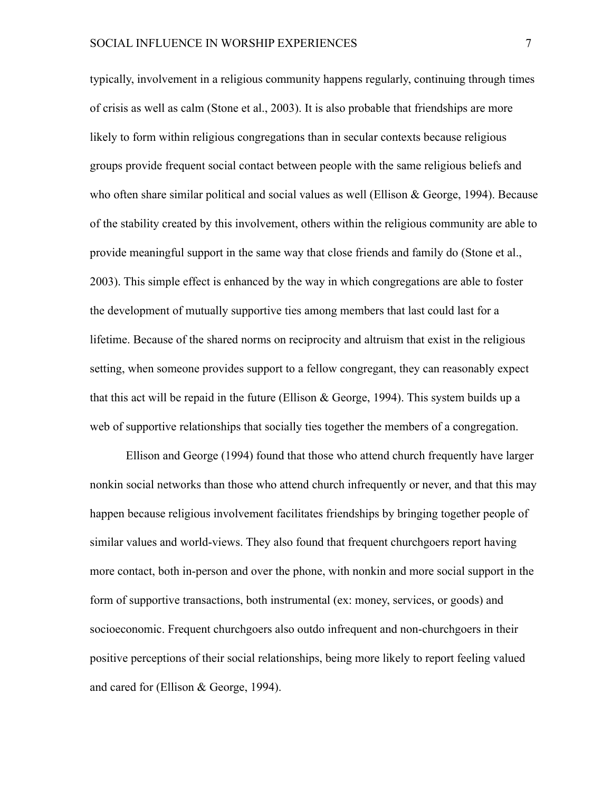typically, involvement in a religious community happens regularly, continuing through times of crisis as well as calm (Stone et al., 2003). It is also probable that friendships are more likely to form within religious congregations than in secular contexts because religious groups provide frequent social contact between people with the same religious beliefs and who often share similar political and social values as well (Ellison  $& George, 1994$ ). Because of the stability created by this involvement, others within the religious community are able to provide meaningful support in the same way that close friends and family do (Stone et al., 2003). This simple effect is enhanced by the way in which congregations are able to foster the development of mutually supportive ties among members that last could last for a lifetime. Because of the shared norms on reciprocity and altruism that exist in the religious setting, when someone provides support to a fellow congregant, they can reasonably expect that this act will be repaid in the future (Ellison & George, 1994). This system builds up a web of supportive relationships that socially ties together the members of a congregation.

 Ellison and George (1994) found that those who attend church frequently have larger nonkin social networks than those who attend church infrequently or never, and that this may happen because religious involvement facilitates friendships by bringing together people of similar values and world-views. They also found that frequent churchgoers report having more contact, both in-person and over the phone, with nonkin and more social support in the form of supportive transactions, both instrumental (ex: money, services, or goods) and socioeconomic. Frequent churchgoers also outdo infrequent and non-churchgoers in their positive perceptions of their social relationships, being more likely to report feeling valued and cared for (Ellison & George, 1994).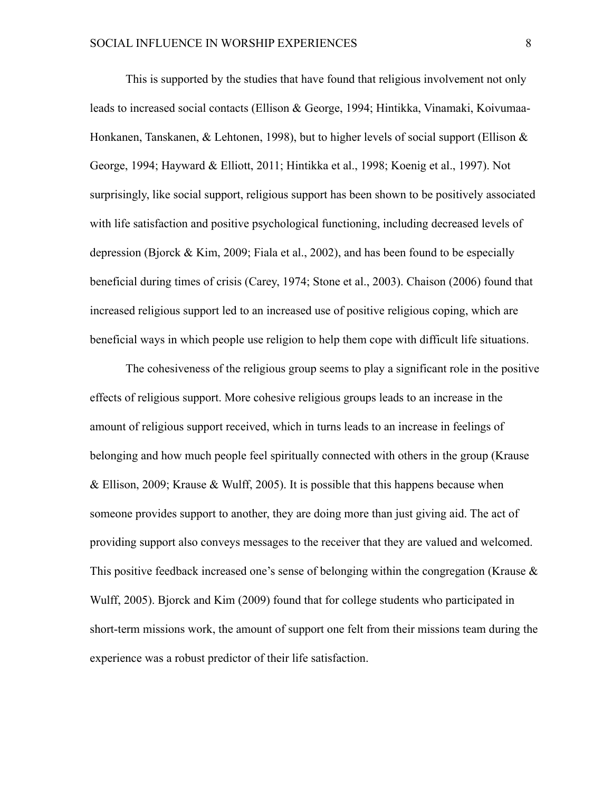This is supported by the studies that have found that religious involvement not only leads to increased social contacts (Ellison & George, 1994; Hintikka, Vinamaki, Koivumaa-Honkanen, Tanskanen, & Lehtonen, 1998), but to higher levels of social support (Ellison  $\&$ George, 1994; Hayward & Elliott, 2011; Hintikka et al., 1998; Koenig et al., 1997). Not surprisingly, like social support, religious support has been shown to be positively associated with life satisfaction and positive psychological functioning, including decreased levels of depression (Bjorck & Kim, 2009; Fiala et al., 2002), and has been found to be especially beneficial during times of crisis (Carey, 1974; Stone et al., 2003). Chaison (2006) found that increased religious support led to an increased use of positive religious coping, which are beneficial ways in which people use religion to help them cope with difficult life situations.

 The cohesiveness of the religious group seems to play a significant role in the positive effects of religious support. More cohesive religious groups leads to an increase in the amount of religious support received, which in turns leads to an increase in feelings of belonging and how much people feel spiritually connected with others in the group (Krause & Ellison, 2009; Krause & Wulff, 2005). It is possible that this happens because when someone provides support to another, they are doing more than just giving aid. The act of providing support also conveys messages to the receiver that they are valued and welcomed. This positive feedback increased one's sense of belonging within the congregation (Krause  $\&$ Wulff, 2005). Bjorck and Kim (2009) found that for college students who participated in short-term missions work, the amount of support one felt from their missions team during the experience was a robust predictor of their life satisfaction.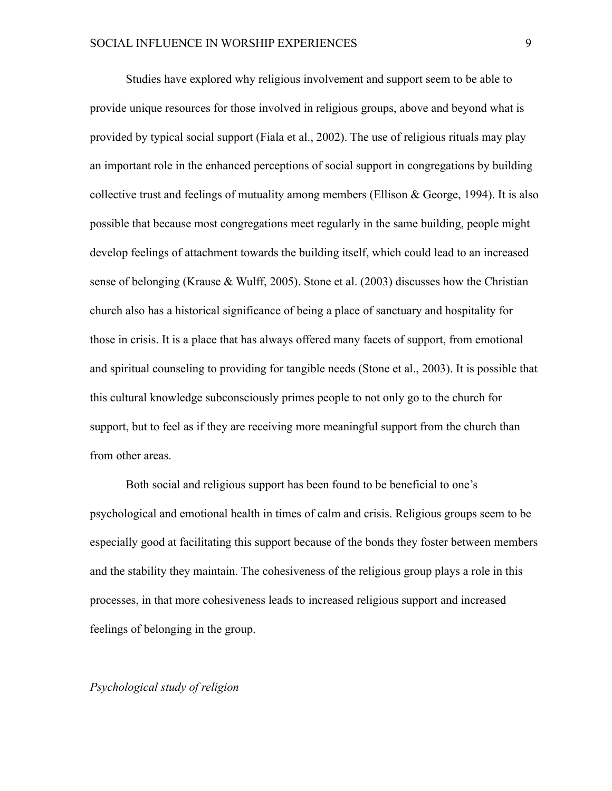Studies have explored why religious involvement and support seem to be able to provide unique resources for those involved in religious groups, above and beyond what is provided by typical social support (Fiala et al., 2002). The use of religious rituals may play an important role in the enhanced perceptions of social support in congregations by building collective trust and feelings of mutuality among members (Ellison  $\&$  George, 1994). It is also possible that because most congregations meet regularly in the same building, people might develop feelings of attachment towards the building itself, which could lead to an increased sense of belonging (Krause & Wulff, 2005). Stone et al. (2003) discusses how the Christian church also has a historical significance of being a place of sanctuary and hospitality for those in crisis. It is a place that has always offered many facets of support, from emotional and spiritual counseling to providing for tangible needs (Stone et al., 2003). It is possible that this cultural knowledge subconsciously primes people to not only go to the church for support, but to feel as if they are receiving more meaningful support from the church than from other areas.

 Both social and religious support has been found to be beneficial to one's psychological and emotional health in times of calm and crisis. Religious groups seem to be especially good at facilitating this support because of the bonds they foster between members and the stability they maintain. The cohesiveness of the religious group plays a role in this processes, in that more cohesiveness leads to increased religious support and increased feelings of belonging in the group.

#### *Psychological study of religion*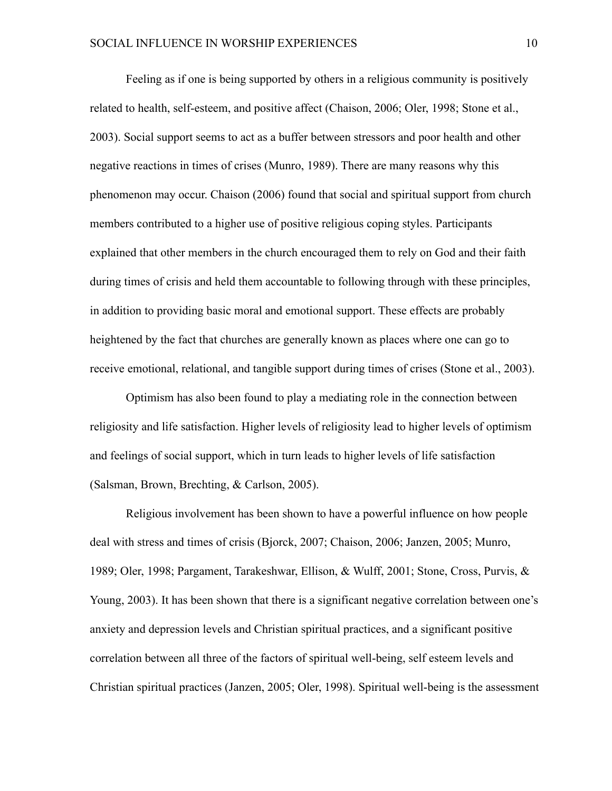Feeling as if one is being supported by others in a religious community is positively related to health, self-esteem, and positive affect (Chaison, 2006; Oler, 1998; Stone et al., 2003). Social support seems to act as a buffer between stressors and poor health and other negative reactions in times of crises (Munro, 1989). There are many reasons why this phenomenon may occur. Chaison (2006) found that social and spiritual support from church members contributed to a higher use of positive religious coping styles. Participants explained that other members in the church encouraged them to rely on God and their faith during times of crisis and held them accountable to following through with these principles, in addition to providing basic moral and emotional support. These effects are probably heightened by the fact that churches are generally known as places where one can go to receive emotional, relational, and tangible support during times of crises (Stone et al., 2003).

 Optimism has also been found to play a mediating role in the connection between religiosity and life satisfaction. Higher levels of religiosity lead to higher levels of optimism and feelings of social support, which in turn leads to higher levels of life satisfaction (Salsman, Brown, Brechting, & Carlson, 2005).

 Religious involvement has been shown to have a powerful influence on how people deal with stress and times of crisis (Bjorck, 2007; Chaison, 2006; Janzen, 2005; Munro, 1989; Oler, 1998; Pargament, Tarakeshwar, Ellison, & Wulff, 2001; Stone, Cross, Purvis, & Young, 2003). It has been shown that there is a significant negative correlation between one's anxiety and depression levels and Christian spiritual practices, and a significant positive correlation between all three of the factors of spiritual well-being, self esteem levels and Christian spiritual practices (Janzen, 2005; Oler, 1998). Spiritual well-being is the assessment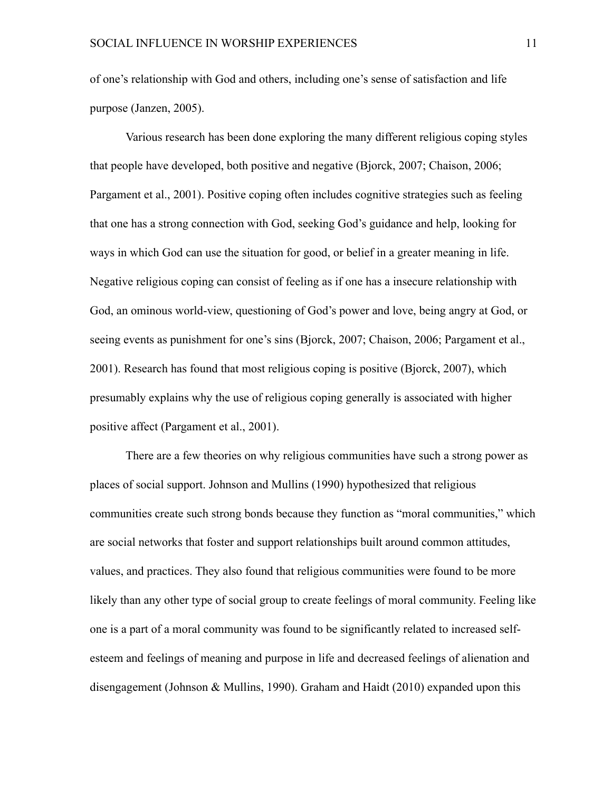of one's relationship with God and others, including one's sense of satisfaction and life purpose (Janzen, 2005).

 Various research has been done exploring the many different religious coping styles that people have developed, both positive and negative (Bjorck, 2007; Chaison, 2006; Pargament et al., 2001). Positive coping often includes cognitive strategies such as feeling that one has a strong connection with God, seeking God's guidance and help, looking for ways in which God can use the situation for good, or belief in a greater meaning in life. Negative religious coping can consist of feeling as if one has a insecure relationship with God, an ominous world-view, questioning of God's power and love, being angry at God, or seeing events as punishment for one's sins (Bjorck, 2007; Chaison, 2006; Pargament et al., 2001). Research has found that most religious coping is positive (Bjorck, 2007), which presumably explains why the use of religious coping generally is associated with higher positive affect (Pargament et al., 2001).

 There are a few theories on why religious communities have such a strong power as places of social support. Johnson and Mullins (1990) hypothesized that religious communities create such strong bonds because they function as "moral communities," which are social networks that foster and support relationships built around common attitudes, values, and practices. They also found that religious communities were found to be more likely than any other type of social group to create feelings of moral community. Feeling like one is a part of a moral community was found to be significantly related to increased selfesteem and feelings of meaning and purpose in life and decreased feelings of alienation and disengagement (Johnson & Mullins, 1990). Graham and Haidt (2010) expanded upon this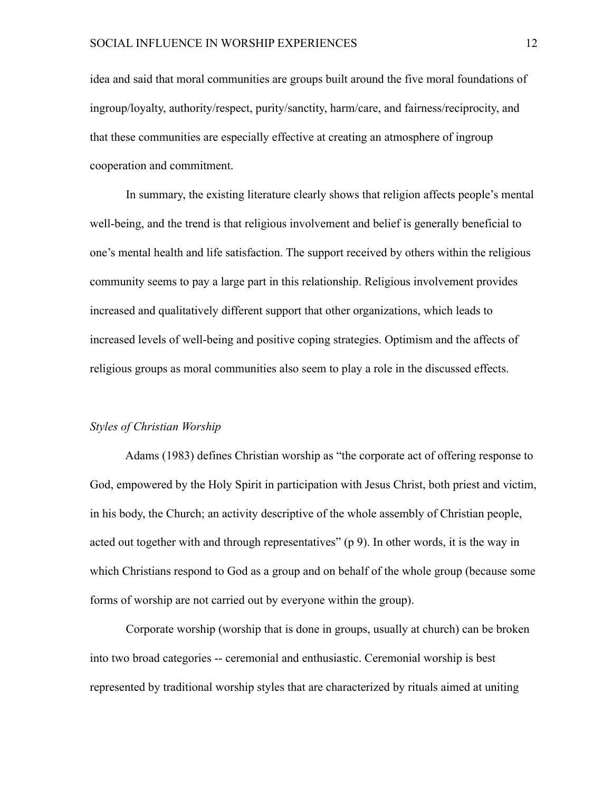idea and said that moral communities are groups built around the five moral foundations of ingroup/loyalty, authority/respect, purity/sanctity, harm/care, and fairness/reciprocity, and that these communities are especially effective at creating an atmosphere of ingroup cooperation and commitment.

 In summary, the existing literature clearly shows that religion affects people's mental well-being, and the trend is that religious involvement and belief is generally beneficial to one's mental health and life satisfaction. The support received by others within the religious community seems to pay a large part in this relationship. Religious involvement provides increased and qualitatively different support that other organizations, which leads to increased levels of well-being and positive coping strategies. Optimism and the affects of religious groups as moral communities also seem to play a role in the discussed effects.

#### *Styles of Christian Worship*

 Adams (1983) defines Christian worship as "the corporate act of offering response to God, empowered by the Holy Spirit in participation with Jesus Christ, both priest and victim, in his body, the Church; an activity descriptive of the whole assembly of Christian people, acted out together with and through representatives" (p 9). In other words, it is the way in which Christians respond to God as a group and on behalf of the whole group (because some forms of worship are not carried out by everyone within the group).

 Corporate worship (worship that is done in groups, usually at church) can be broken into two broad categories -- ceremonial and enthusiastic. Ceremonial worship is best represented by traditional worship styles that are characterized by rituals aimed at uniting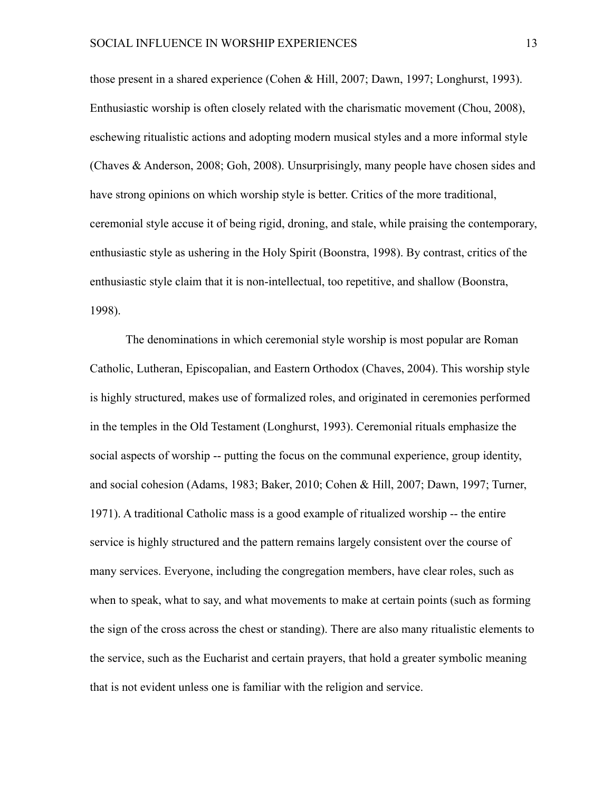those present in a shared experience (Cohen & Hill, 2007; Dawn, 1997; Longhurst, 1993). Enthusiastic worship is often closely related with the charismatic movement (Chou, 2008), eschewing ritualistic actions and adopting modern musical styles and a more informal style (Chaves & Anderson, 2008; Goh, 2008). Unsurprisingly, many people have chosen sides and have strong opinions on which worship style is better. Critics of the more traditional, ceremonial style accuse it of being rigid, droning, and stale, while praising the contemporary, enthusiastic style as ushering in the Holy Spirit (Boonstra, 1998). By contrast, critics of the enthusiastic style claim that it is non-intellectual, too repetitive, and shallow (Boonstra, 1998).

 The denominations in which ceremonial style worship is most popular are Roman Catholic, Lutheran, Episcopalian, and Eastern Orthodox (Chaves, 2004). This worship style is highly structured, makes use of formalized roles, and originated in ceremonies performed in the temples in the Old Testament (Longhurst, 1993). Ceremonial rituals emphasize the social aspects of worship -- putting the focus on the communal experience, group identity, and social cohesion (Adams, 1983; Baker, 2010; Cohen & Hill, 2007; Dawn, 1997; Turner, 1971). A traditional Catholic mass is a good example of ritualized worship -- the entire service is highly structured and the pattern remains largely consistent over the course of many services. Everyone, including the congregation members, have clear roles, such as when to speak, what to say, and what movements to make at certain points (such as forming the sign of the cross across the chest or standing). There are also many ritualistic elements to the service, such as the Eucharist and certain prayers, that hold a greater symbolic meaning that is not evident unless one is familiar with the religion and service.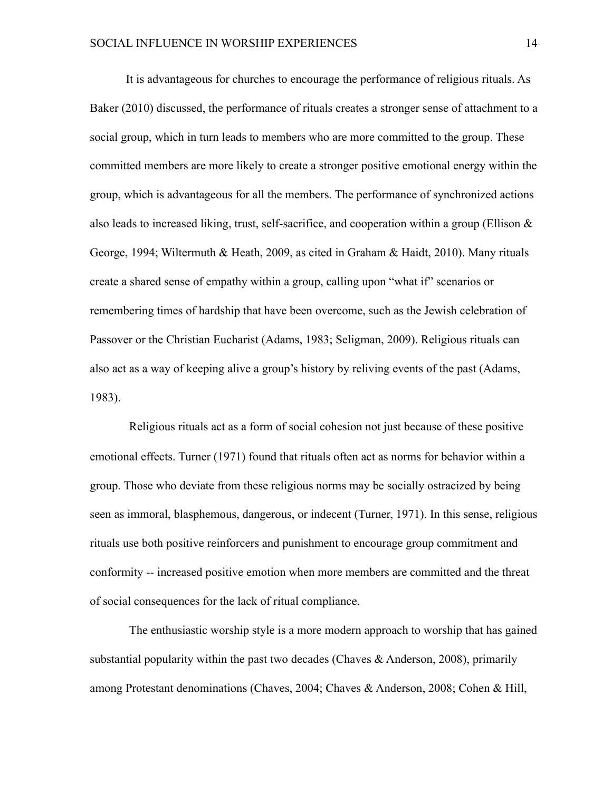It is advantageous for churches to encourage the performance of religious rituals. As Baker (2010) discussed, the performance of rituals creates a stronger sense of attachment to a social group, which in turn leads to members who are more committed to the group. These committed members are more likely to create a stronger positive emotional energy within the group, which is advantageous for all the members. The performance of synchronized actions also leads to increased liking, trust, self-sacrifice, and cooperation within a group (Ellison  $\&$ George, 1994; Wiltermuth & Heath, 2009, as cited in Graham & Haidt, 2010). Many rituals create a shared sense of empathy within a group, calling upon "what if" scenarios or remembering times of hardship that have been overcome, such as the Jewish celebration of Passover or the Christian Eucharist (Adams, 1983; Seligman, 2009). Religious rituals can also act as a way of keeping alive a group's history by reliving events of the past (Adams, 1983).

Religious rituals act as a form of social cohesion not just because of these positive emotional effects. Turner (1971) found that rituals often act as norms for behavior within a group. Those who deviate from these religious norms may be socially ostracized by being seen as immoral, blasphemous, dangerous, or indecent (Turner, 1971). In this sense, religious rituals use both positive reinforcers and punishment to encourage group commitment and conformity -- increased positive emotion when more members are committed and the threat of social consequences for the lack of ritual compliance.

The enthusiastic worship style is a more modern approach to worship that has gained substantial popularity within the past two decades (Chaves  $\&$  Anderson, 2008), primarily among Protestant denominations (Chaves, 2004; Chaves & Anderson, 2008; Cohen & Hill,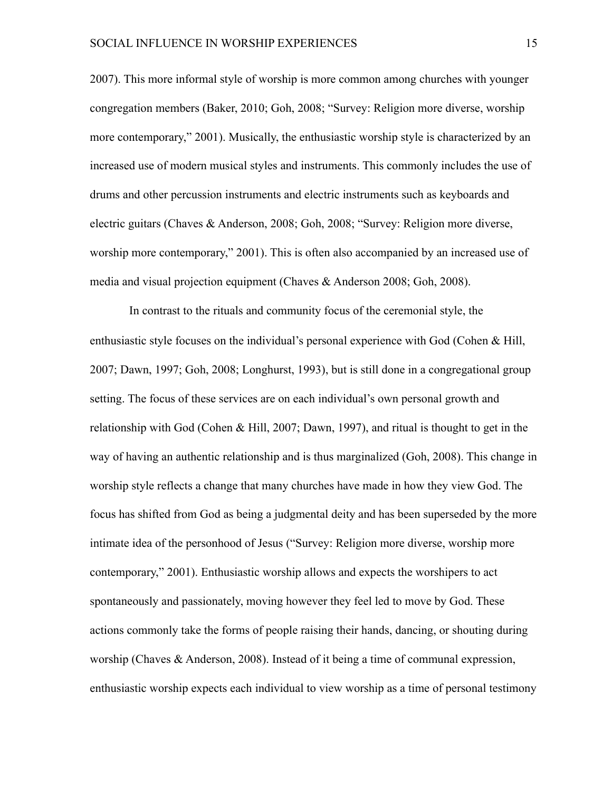2007). This more informal style of worship is more common among churches with younger congregation members (Baker, 2010; Goh, 2008; "Survey: Religion more diverse, worship more contemporary," 2001). Musically, the enthusiastic worship style is characterized by an increased use of modern musical styles and instruments. This commonly includes the use of drums and other percussion instruments and electric instruments such as keyboards and electric guitars (Chaves & Anderson, 2008; Goh, 2008; "Survey: Religion more diverse, worship more contemporary," 2001). This is often also accompanied by an increased use of media and visual projection equipment (Chaves & Anderson 2008; Goh, 2008).

In contrast to the rituals and community focus of the ceremonial style, the enthusiastic style focuses on the individual's personal experience with God (Cohen & Hill, 2007; Dawn, 1997; Goh, 2008; Longhurst, 1993), but is still done in a congregational group setting. The focus of these services are on each individual's own personal growth and relationship with God (Cohen & Hill, 2007; Dawn, 1997), and ritual is thought to get in the way of having an authentic relationship and is thus marginalized (Goh, 2008). This change in worship style reflects a change that many churches have made in how they view God. The focus has shifted from God as being a judgmental deity and has been superseded by the more intimate idea of the personhood of Jesus ("Survey: Religion more diverse, worship more contemporary," 2001). Enthusiastic worship allows and expects the worshipers to act spontaneously and passionately, moving however they feel led to move by God. These actions commonly take the forms of people raising their hands, dancing, or shouting during worship (Chaves & Anderson, 2008). Instead of it being a time of communal expression, enthusiastic worship expects each individual to view worship as a time of personal testimony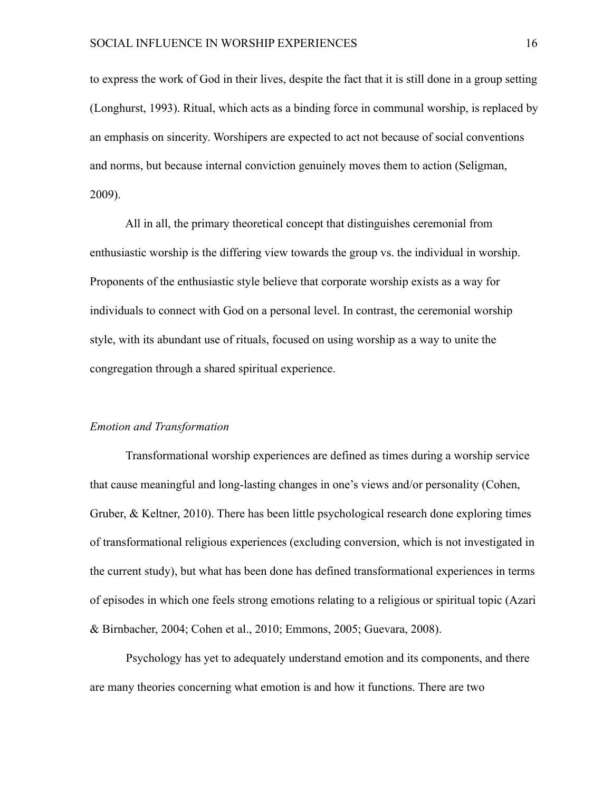to express the work of God in their lives, despite the fact that it is still done in a group setting (Longhurst, 1993). Ritual, which acts as a binding force in communal worship, is replaced by an emphasis on sincerity. Worshipers are expected to act not because of social conventions and norms, but because internal conviction genuinely moves them to action (Seligman, 2009).

 All in all, the primary theoretical concept that distinguishes ceremonial from enthusiastic worship is the differing view towards the group vs. the individual in worship. Proponents of the enthusiastic style believe that corporate worship exists as a way for individuals to connect with God on a personal level. In contrast, the ceremonial worship style, with its abundant use of rituals, focused on using worship as a way to unite the congregation through a shared spiritual experience.

#### *Emotion and Transformation*

 Transformational worship experiences are defined as times during a worship service that cause meaningful and long-lasting changes in one's views and/or personality (Cohen, Gruber, & Keltner, 2010). There has been little psychological research done exploring times of transformational religious experiences (excluding conversion, which is not investigated in the current study), but what has been done has defined transformational experiences in terms of episodes in which one feels strong emotions relating to a religious or spiritual topic (Azari & Birnbacher, 2004; Cohen et al., 2010; Emmons, 2005; Guevara, 2008).

Psychology has yet to adequately understand emotion and its components, and there are many theories concerning what emotion is and how it functions. There are two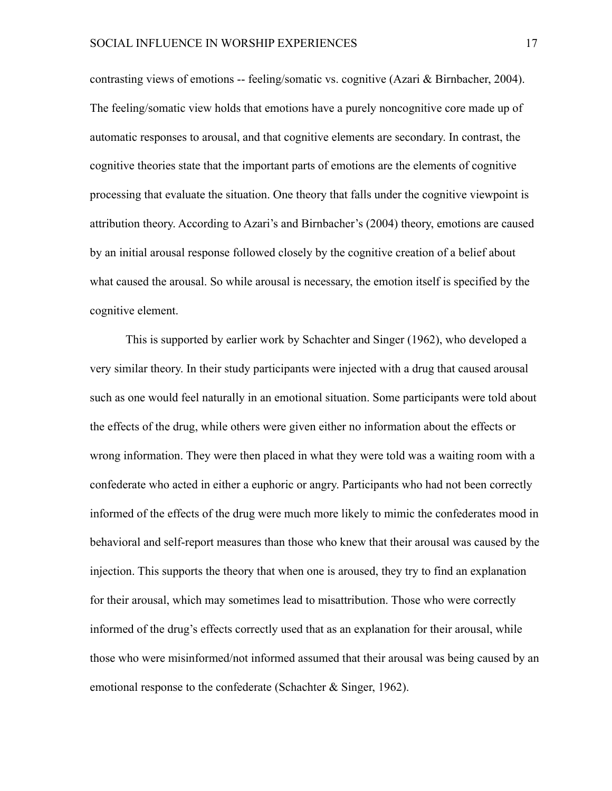contrasting views of emotions -- feeling/somatic vs. cognitive (Azari & Birnbacher, 2004). The feeling/somatic view holds that emotions have a purely noncognitive core made up of automatic responses to arousal, and that cognitive elements are secondary. In contrast, the cognitive theories state that the important parts of emotions are the elements of cognitive processing that evaluate the situation. One theory that falls under the cognitive viewpoint is attribution theory. According to Azari's and Birnbacher's (2004) theory, emotions are caused by an initial arousal response followed closely by the cognitive creation of a belief about what caused the arousal. So while arousal is necessary, the emotion itself is specified by the cognitive element.

 This is supported by earlier work by Schachter and Singer (1962), who developed a very similar theory. In their study participants were injected with a drug that caused arousal such as one would feel naturally in an emotional situation. Some participants were told about the effects of the drug, while others were given either no information about the effects or wrong information. They were then placed in what they were told was a waiting room with a confederate who acted in either a euphoric or angry. Participants who had not been correctly informed of the effects of the drug were much more likely to mimic the confederates mood in behavioral and self-report measures than those who knew that their arousal was caused by the injection. This supports the theory that when one is aroused, they try to find an explanation for their arousal, which may sometimes lead to misattribution. Those who were correctly informed of the drug's effects correctly used that as an explanation for their arousal, while those who were misinformed/not informed assumed that their arousal was being caused by an emotional response to the confederate (Schachter & Singer, 1962).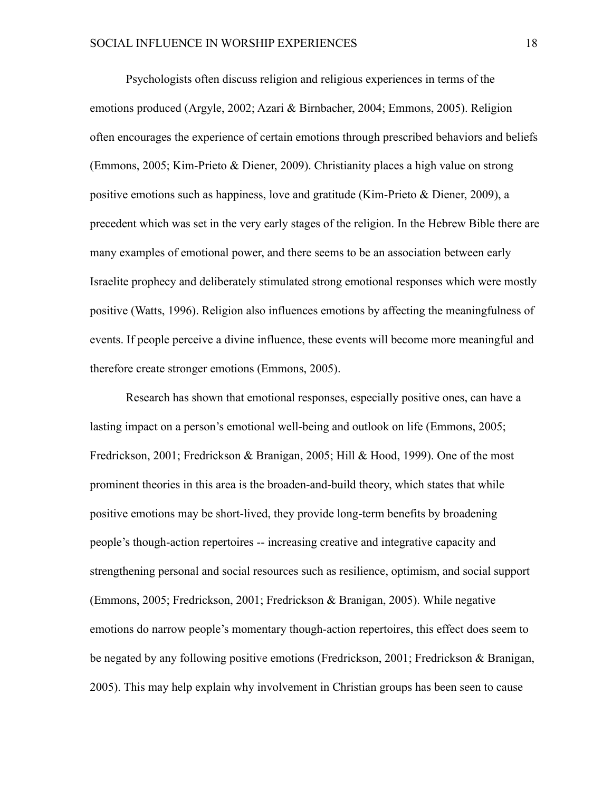Psychologists often discuss religion and religious experiences in terms of the emotions produced (Argyle, 2002; Azari & Birnbacher, 2004; Emmons, 2005). Religion often encourages the experience of certain emotions through prescribed behaviors and beliefs (Emmons, 2005; Kim-Prieto & Diener, 2009). Christianity places a high value on strong positive emotions such as happiness, love and gratitude (Kim-Prieto & Diener, 2009), a precedent which was set in the very early stages of the religion. In the Hebrew Bible there are many examples of emotional power, and there seems to be an association between early Israelite prophecy and deliberately stimulated strong emotional responses which were mostly positive (Watts, 1996). Religion also influences emotions by affecting the meaningfulness of events. If people perceive a divine influence, these events will become more meaningful and therefore create stronger emotions (Emmons, 2005).

Research has shown that emotional responses, especially positive ones, can have a lasting impact on a person's emotional well-being and outlook on life (Emmons, 2005; Fredrickson, 2001; Fredrickson & Branigan, 2005; Hill & Hood, 1999). One of the most prominent theories in this area is the broaden-and-build theory, which states that while positive emotions may be short-lived, they provide long-term benefits by broadening people's though-action repertoires -- increasing creative and integrative capacity and strengthening personal and social resources such as resilience, optimism, and social support (Emmons, 2005; Fredrickson, 2001; Fredrickson & Branigan, 2005). While negative emotions do narrow people's momentary though-action repertoires, this effect does seem to be negated by any following positive emotions (Fredrickson, 2001; Fredrickson & Branigan, 2005). This may help explain why involvement in Christian groups has been seen to cause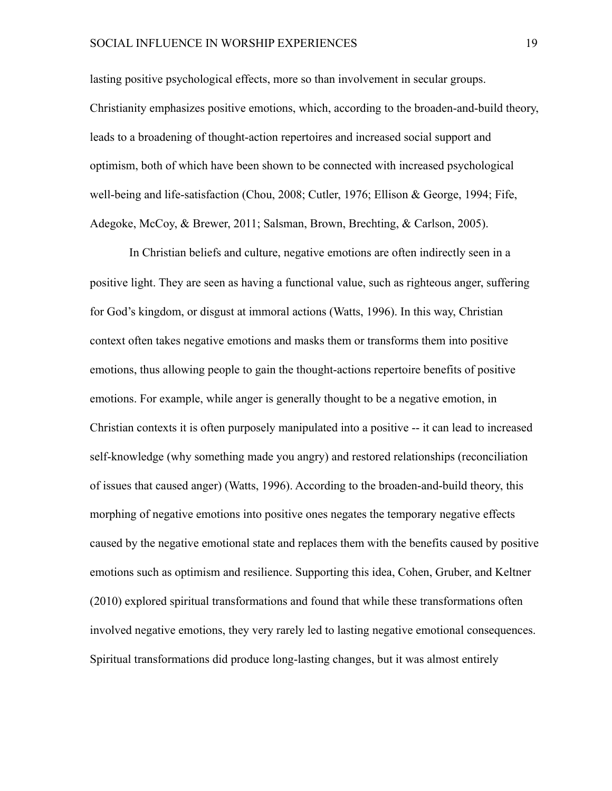lasting positive psychological effects, more so than involvement in secular groups. Christianity emphasizes positive emotions, which, according to the broaden-and-build theory, leads to a broadening of thought-action repertoires and increased social support and optimism, both of which have been shown to be connected with increased psychological well-being and life-satisfaction (Chou, 2008; Cutler, 1976; Ellison & George, 1994; Fife, Adegoke, McCoy, & Brewer, 2011; Salsman, Brown, Brechting, & Carlson, 2005).

In Christian beliefs and culture, negative emotions are often indirectly seen in a positive light. They are seen as having a functional value, such as righteous anger, suffering for God's kingdom, or disgust at immoral actions (Watts, 1996). In this way, Christian context often takes negative emotions and masks them or transforms them into positive emotions, thus allowing people to gain the thought-actions repertoire benefits of positive emotions. For example, while anger is generally thought to be a negative emotion, in Christian contexts it is often purposely manipulated into a positive -- it can lead to increased self-knowledge (why something made you angry) and restored relationships (reconciliation of issues that caused anger) (Watts, 1996). According to the broaden-and-build theory, this morphing of negative emotions into positive ones negates the temporary negative effects caused by the negative emotional state and replaces them with the benefits caused by positive emotions such as optimism and resilience. Supporting this idea, Cohen, Gruber, and Keltner (2010) explored spiritual transformations and found that while these transformations often involved negative emotions, they very rarely led to lasting negative emotional consequences. Spiritual transformations did produce long-lasting changes, but it was almost entirely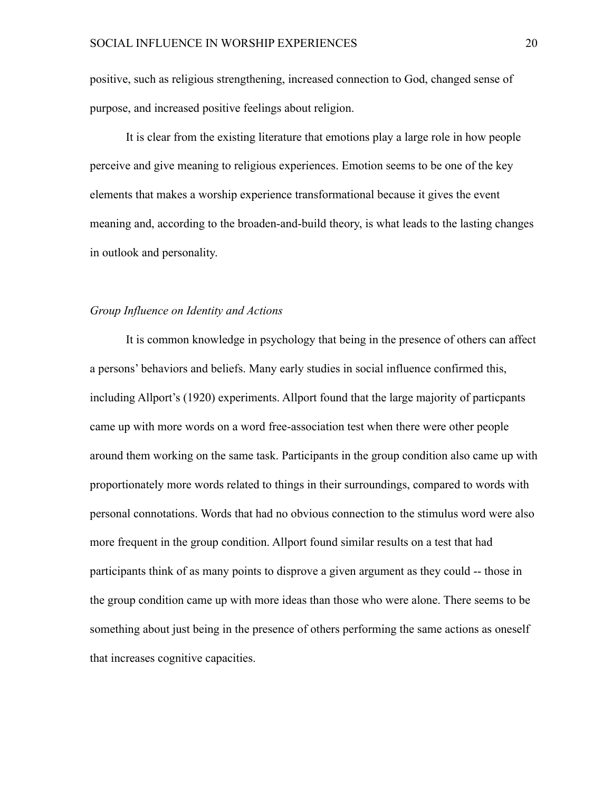positive, such as religious strengthening, increased connection to God, changed sense of purpose, and increased positive feelings about religion.

 It is clear from the existing literature that emotions play a large role in how people perceive and give meaning to religious experiences. Emotion seems to be one of the key elements that makes a worship experience transformational because it gives the event meaning and, according to the broaden-and-build theory, is what leads to the lasting changes in outlook and personality.

#### *Group Influence on Identity and Actions*

 It is common knowledge in psychology that being in the presence of others can affect a persons' behaviors and beliefs. Many early studies in social influence confirmed this, including Allport's (1920) experiments. Allport found that the large majority of particpants came up with more words on a word free-association test when there were other people around them working on the same task. Participants in the group condition also came up with proportionately more words related to things in their surroundings, compared to words with personal connotations. Words that had no obvious connection to the stimulus word were also more frequent in the group condition. Allport found similar results on a test that had participants think of as many points to disprove a given argument as they could -- those in the group condition came up with more ideas than those who were alone. There seems to be something about just being in the presence of others performing the same actions as oneself that increases cognitive capacities.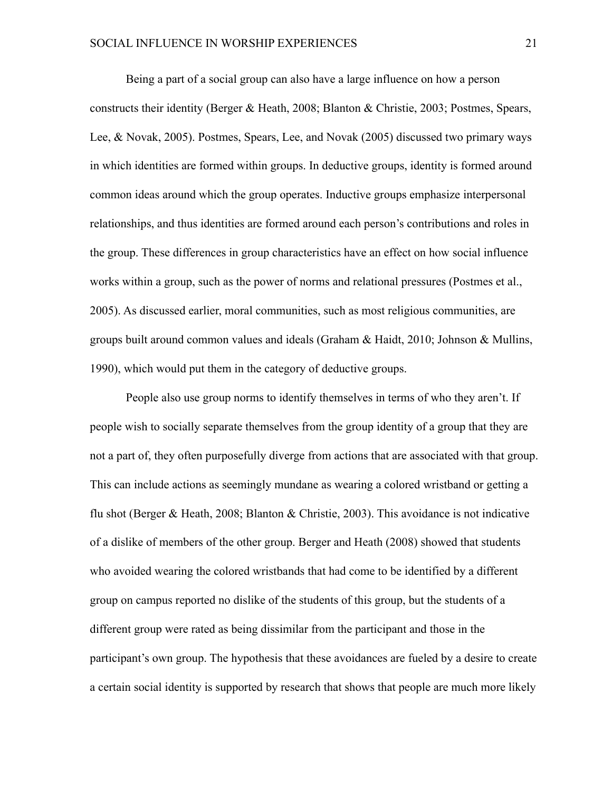Being a part of a social group can also have a large influence on how a person constructs their identity (Berger & Heath, 2008; Blanton & Christie, 2003; Postmes, Spears, Lee, & Novak, 2005). Postmes, Spears, Lee, and Novak (2005) discussed two primary ways in which identities are formed within groups. In deductive groups, identity is formed around common ideas around which the group operates. Inductive groups emphasize interpersonal relationships, and thus identities are formed around each person's contributions and roles in the group. These differences in group characteristics have an effect on how social influence works within a group, such as the power of norms and relational pressures (Postmes et al., 2005). As discussed earlier, moral communities, such as most religious communities, are groups built around common values and ideals (Graham & Haidt, 2010; Johnson & Mullins, 1990), which would put them in the category of deductive groups.

 People also use group norms to identify themselves in terms of who they aren't. If people wish to socially separate themselves from the group identity of a group that they are not a part of, they often purposefully diverge from actions that are associated with that group. This can include actions as seemingly mundane as wearing a colored wristband or getting a flu shot (Berger & Heath, 2008; Blanton & Christie, 2003). This avoidance is not indicative of a dislike of members of the other group. Berger and Heath (2008) showed that students who avoided wearing the colored wristbands that had come to be identified by a different group on campus reported no dislike of the students of this group, but the students of a different group were rated as being dissimilar from the participant and those in the participant's own group. The hypothesis that these avoidances are fueled by a desire to create a certain social identity is supported by research that shows that people are much more likely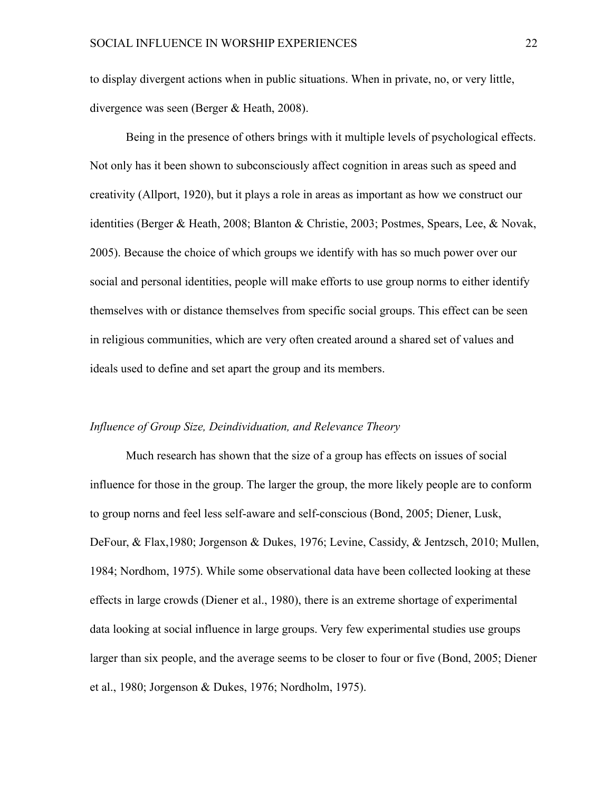to display divergent actions when in public situations. When in private, no, or very little, divergence was seen (Berger & Heath, 2008).

 Being in the presence of others brings with it multiple levels of psychological effects. Not only has it been shown to subconsciously affect cognition in areas such as speed and creativity (Allport, 1920), but it plays a role in areas as important as how we construct our identities (Berger & Heath, 2008; Blanton & Christie, 2003; Postmes, Spears, Lee, & Novak, 2005). Because the choice of which groups we identify with has so much power over our social and personal identities, people will make efforts to use group norms to either identify themselves with or distance themselves from specific social groups. This effect can be seen in religious communities, which are very often created around a shared set of values and ideals used to define and set apart the group and its members.

#### *Influence of Group Size, Deindividuation, and Relevance Theory*

Much research has shown that the size of a group has effects on issues of social influence for those in the group. The larger the group, the more likely people are to conform to group norns and feel less self-aware and self-conscious (Bond, 2005; Diener, Lusk, DeFour, & Flax,1980; Jorgenson & Dukes, 1976; Levine, Cassidy, & Jentzsch, 2010; Mullen, 1984; Nordhom, 1975). While some observational data have been collected looking at these effects in large crowds (Diener et al., 1980), there is an extreme shortage of experimental data looking at social influence in large groups. Very few experimental studies use groups larger than six people, and the average seems to be closer to four or five (Bond, 2005; Diener et al., 1980; Jorgenson & Dukes, 1976; Nordholm, 1975).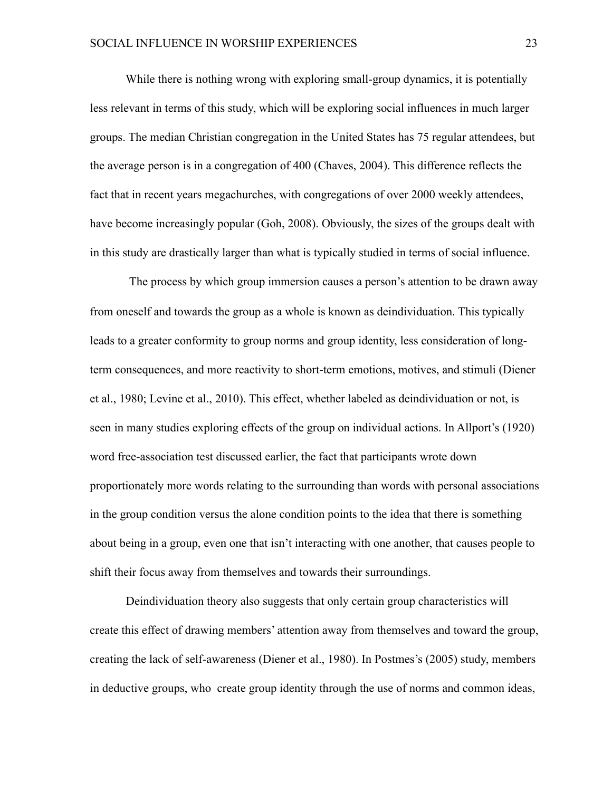While there is nothing wrong with exploring small-group dynamics, it is potentially less relevant in terms of this study, which will be exploring social influences in much larger groups. The median Christian congregation in the United States has 75 regular attendees, but the average person is in a congregation of 400 (Chaves, 2004). This difference reflects the fact that in recent years megachurches, with congregations of over 2000 weekly attendees, have become increasingly popular (Goh, 2008). Obviously, the sizes of the groups dealt with in this study are drastically larger than what is typically studied in terms of social influence.

The process by which group immersion causes a person's attention to be drawn away from oneself and towards the group as a whole is known as deindividuation. This typically leads to a greater conformity to group norms and group identity, less consideration of longterm consequences, and more reactivity to short-term emotions, motives, and stimuli (Diener et al., 1980; Levine et al., 2010). This effect, whether labeled as deindividuation or not, is seen in many studies exploring effects of the group on individual actions. In Allport's (1920) word free-association test discussed earlier, the fact that participants wrote down proportionately more words relating to the surrounding than words with personal associations in the group condition versus the alone condition points to the idea that there is something about being in a group, even one that isn't interacting with one another, that causes people to shift their focus away from themselves and towards their surroundings.

Deindividuation theory also suggests that only certain group characteristics will create this effect of drawing members' attention away from themselves and toward the group, creating the lack of self-awareness (Diener et al., 1980). In Postmes's (2005) study, members in deductive groups, who create group identity through the use of norms and common ideas,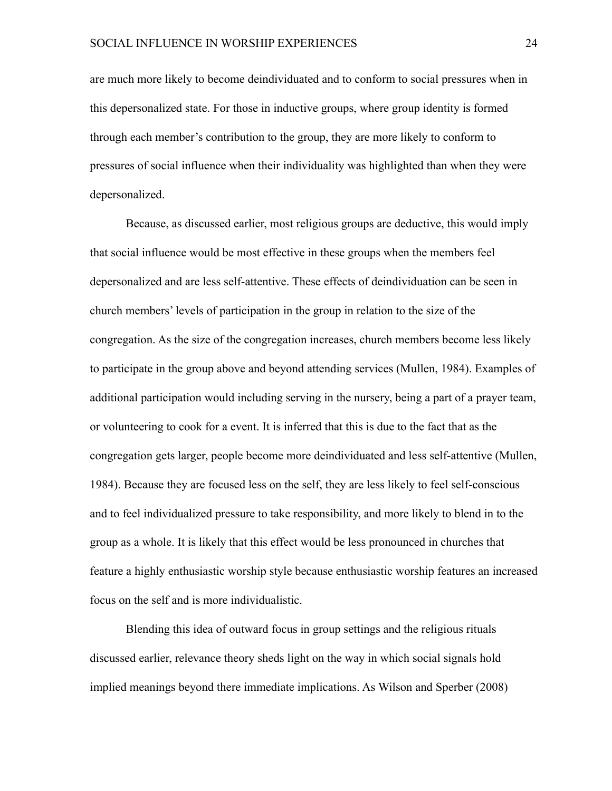are much more likely to become deindividuated and to conform to social pressures when in this depersonalized state. For those in inductive groups, where group identity is formed through each member's contribution to the group, they are more likely to conform to pressures of social influence when their individuality was highlighted than when they were depersonalized.

 Because, as discussed earlier, most religious groups are deductive, this would imply that social influence would be most effective in these groups when the members feel depersonalized and are less self-attentive. These effects of deindividuation can be seen in church members' levels of participation in the group in relation to the size of the congregation. As the size of the congregation increases, church members become less likely to participate in the group above and beyond attending services (Mullen, 1984). Examples of additional participation would including serving in the nursery, being a part of a prayer team, or volunteering to cook for a event. It is inferred that this is due to the fact that as the congregation gets larger, people become more deindividuated and less self-attentive (Mullen, 1984). Because they are focused less on the self, they are less likely to feel self-conscious and to feel individualized pressure to take responsibility, and more likely to blend in to the group as a whole. It is likely that this effect would be less pronounced in churches that feature a highly enthusiastic worship style because enthusiastic worship features an increased focus on the self and is more individualistic.

 Blending this idea of outward focus in group settings and the religious rituals discussed earlier, relevance theory sheds light on the way in which social signals hold implied meanings beyond there immediate implications. As Wilson and Sperber (2008)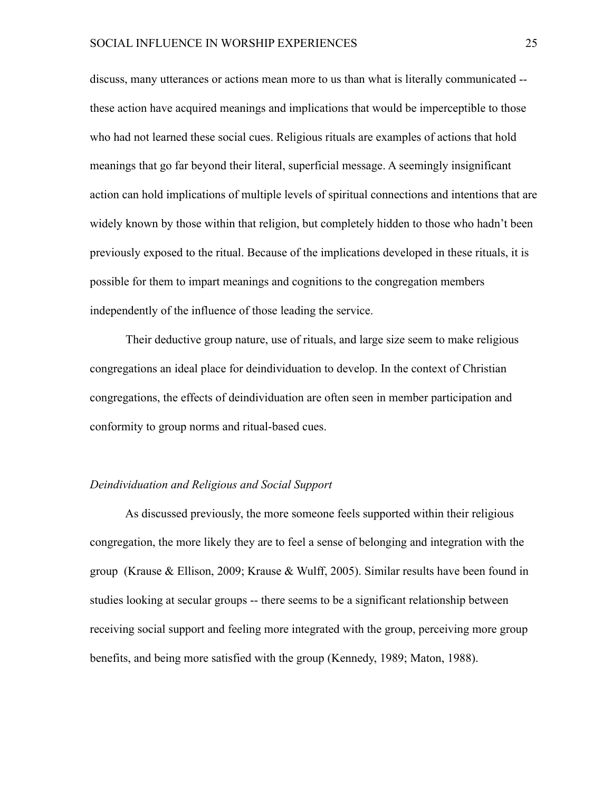discuss, many utterances or actions mean more to us than what is literally communicated - these action have acquired meanings and implications that would be imperceptible to those who had not learned these social cues. Religious rituals are examples of actions that hold meanings that go far beyond their literal, superficial message. A seemingly insignificant action can hold implications of multiple levels of spiritual connections and intentions that are widely known by those within that religion, but completely hidden to those who hadn't been previously exposed to the ritual. Because of the implications developed in these rituals, it is possible for them to impart meanings and cognitions to the congregation members independently of the influence of those leading the service.

 Their deductive group nature, use of rituals, and large size seem to make religious congregations an ideal place for deindividuation to develop. In the context of Christian congregations, the effects of deindividuation are often seen in member participation and conformity to group norms and ritual-based cues.

#### *Deindividuation and Religious and Social Support*

 As discussed previously, the more someone feels supported within their religious congregation, the more likely they are to feel a sense of belonging and integration with the group (Krause & Ellison, 2009; Krause & Wulff, 2005). Similar results have been found in studies looking at secular groups -- there seems to be a significant relationship between receiving social support and feeling more integrated with the group, perceiving more group benefits, and being more satisfied with the group (Kennedy, 1989; Maton, 1988).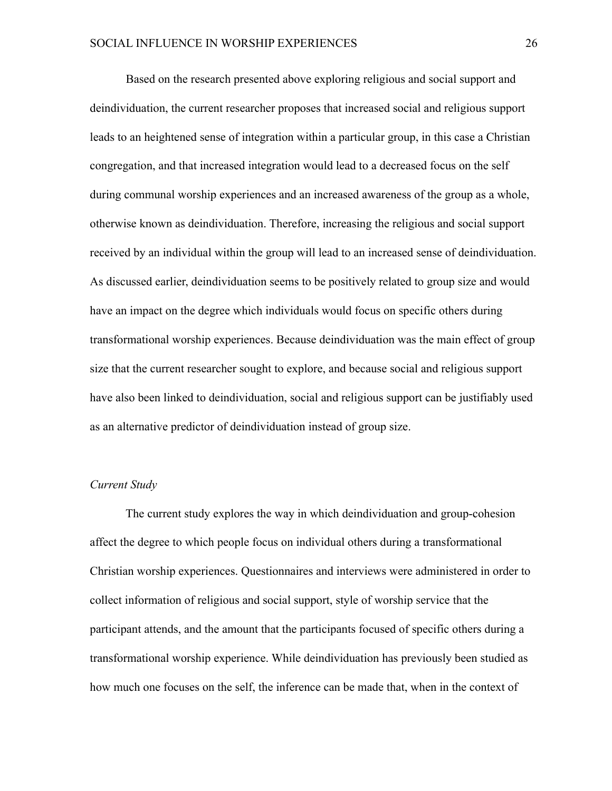Based on the research presented above exploring religious and social support and deindividuation, the current researcher proposes that increased social and religious support leads to an heightened sense of integration within a particular group, in this case a Christian congregation, and that increased integration would lead to a decreased focus on the self during communal worship experiences and an increased awareness of the group as a whole, otherwise known as deindividuation. Therefore, increasing the religious and social support received by an individual within the group will lead to an increased sense of deindividuation. As discussed earlier, deindividuation seems to be positively related to group size and would have an impact on the degree which individuals would focus on specific others during transformational worship experiences. Because deindividuation was the main effect of group size that the current researcher sought to explore, and because social and religious support have also been linked to deindividuation, social and religious support can be justifiably used as an alternative predictor of deindividuation instead of group size.

#### *Current Study*

 The current study explores the way in which deindividuation and group-cohesion affect the degree to which people focus on individual others during a transformational Christian worship experiences. Questionnaires and interviews were administered in order to collect information of religious and social support, style of worship service that the participant attends, and the amount that the participants focused of specific others during a transformational worship experience. While deindividuation has previously been studied as how much one focuses on the self, the inference can be made that, when in the context of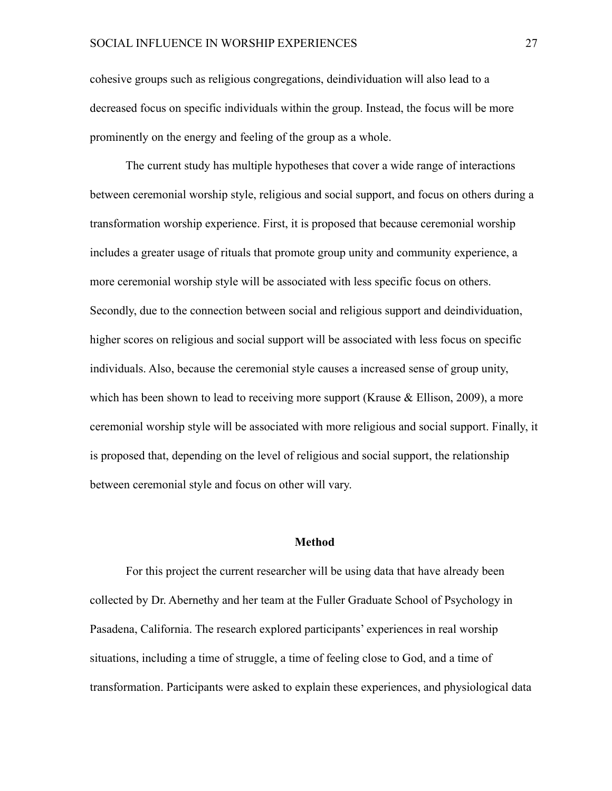cohesive groups such as religious congregations, deindividuation will also lead to a decreased focus on specific individuals within the group. Instead, the focus will be more prominently on the energy and feeling of the group as a whole.

 The current study has multiple hypotheses that cover a wide range of interactions between ceremonial worship style, religious and social support, and focus on others during a transformation worship experience. First, it is proposed that because ceremonial worship includes a greater usage of rituals that promote group unity and community experience, a more ceremonial worship style will be associated with less specific focus on others. Secondly, due to the connection between social and religious support and deindividuation, higher scores on religious and social support will be associated with less focus on specific individuals. Also, because the ceremonial style causes a increased sense of group unity, which has been shown to lead to receiving more support (Krause  $&$  Ellison, 2009), a more ceremonial worship style will be associated with more religious and social support. Finally, it is proposed that, depending on the level of religious and social support, the relationship between ceremonial style and focus on other will vary.

#### **Method**

 For this project the current researcher will be using data that have already been collected by Dr. Abernethy and her team at the Fuller Graduate School of Psychology in Pasadena, California. The research explored participants' experiences in real worship situations, including a time of struggle, a time of feeling close to God, and a time of transformation. Participants were asked to explain these experiences, and physiological data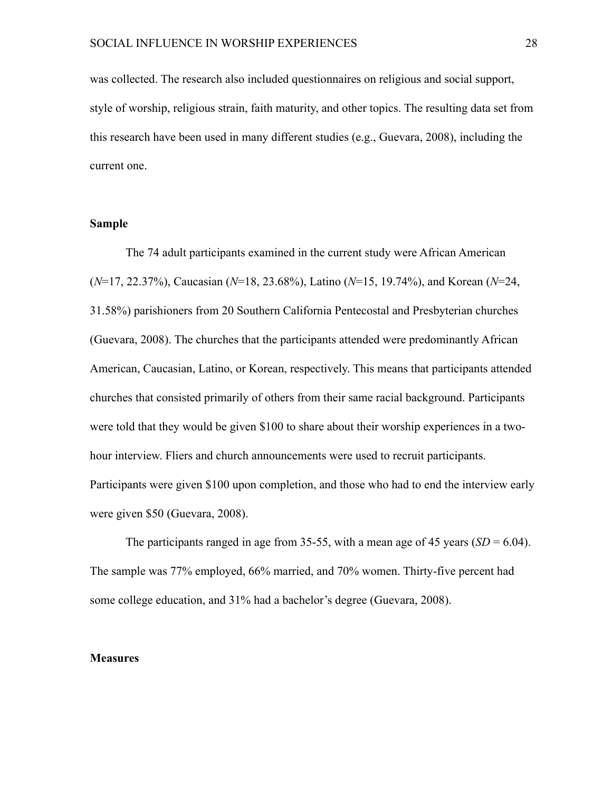was collected. The research also included questionnaires on religious and social support, style of worship, religious strain, faith maturity, and other topics. The resulting data set from this research have been used in many different studies (e.g., Guevara, 2008), including the current one.

#### **Sample**

 The 74 adult participants examined in the current study were African American (*N*=17, 22.37%), Caucasian (*N*=18, 23.68%), Latino (*N*=15, 19.74%), and Korean (*N*=24, 31.58%) parishioners from 20 Southern California Pentecostal and Presbyterian churches (Guevara, 2008). The churches that the participants attended were predominantly African American, Caucasian, Latino, or Korean, respectively. This means that participants attended churches that consisted primarily of others from their same racial background. Participants were told that they would be given \$100 to share about their worship experiences in a twohour interview. Fliers and church announcements were used to recruit participants. Participants were given \$100 upon completion, and those who had to end the interview early were given \$50 (Guevara, 2008).

The participants ranged in age from 35-55, with a mean age of 45 years  $(SD = 6.04)$ . The sample was 77% employed, 66% married, and 70% women. Thirty-five percent had some college education, and 31% had a bachelor's degree (Guevara, 2008).

#### **Measures**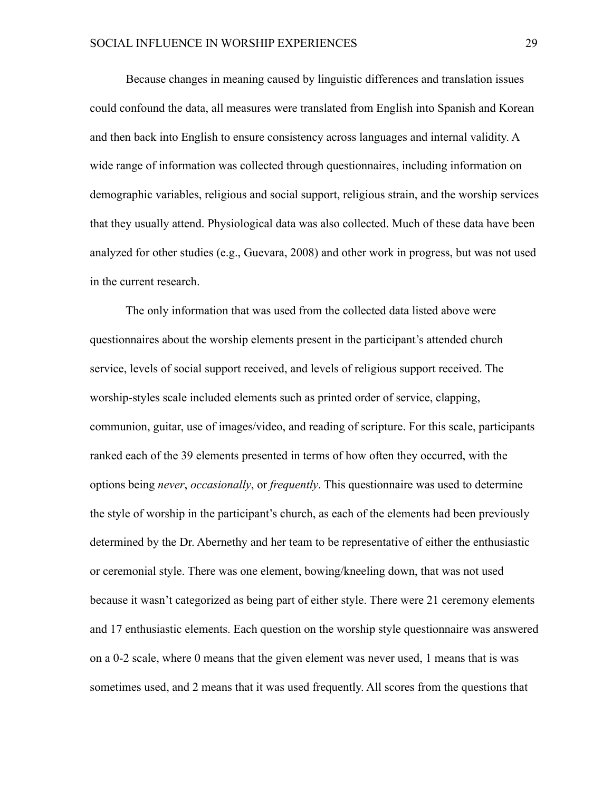Because changes in meaning caused by linguistic differences and translation issues could confound the data, all measures were translated from English into Spanish and Korean and then back into English to ensure consistency across languages and internal validity. A wide range of information was collected through questionnaires, including information on demographic variables, religious and social support, religious strain, and the worship services that they usually attend. Physiological data was also collected. Much of these data have been analyzed for other studies (e.g., Guevara, 2008) and other work in progress, but was not used in the current research.

 The only information that was used from the collected data listed above were questionnaires about the worship elements present in the participant's attended church service, levels of social support received, and levels of religious support received. The worship-styles scale included elements such as printed order of service, clapping, communion, guitar, use of images/video, and reading of scripture. For this scale, participants ranked each of the 39 elements presented in terms of how often they occurred, with the options being *never*, *occasionally*, or *frequently*. This questionnaire was used to determine the style of worship in the participant's church, as each of the elements had been previously determined by the Dr. Abernethy and her team to be representative of either the enthusiastic or ceremonial style. There was one element, bowing/kneeling down, that was not used because it wasn't categorized as being part of either style. There were 21 ceremony elements and 17 enthusiastic elements. Each question on the worship style questionnaire was answered on a 0-2 scale, where 0 means that the given element was never used, 1 means that is was sometimes used, and 2 means that it was used frequently. All scores from the questions that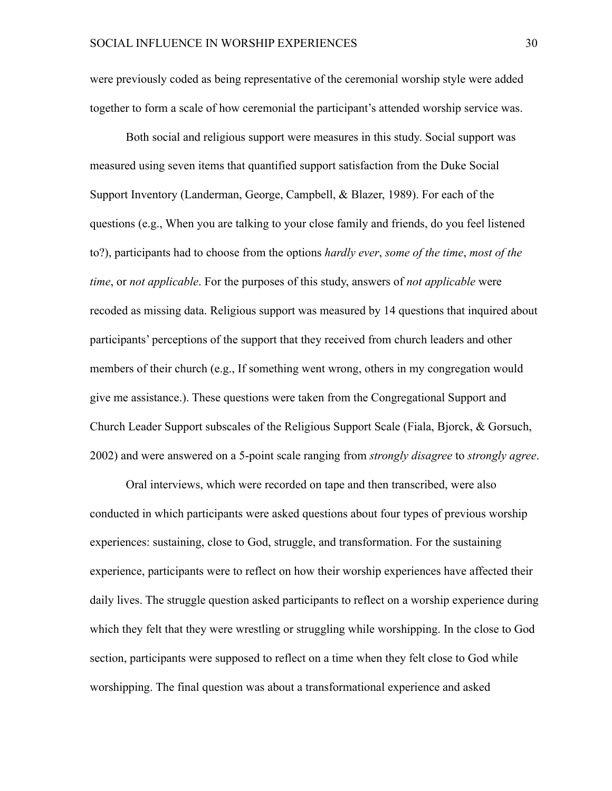were previously coded as being representative of the ceremonial worship style were added together to form a scale of how ceremonial the participant's attended worship service was.

 Both social and religious support were measures in this study. Social support was measured using seven items that quantified support satisfaction from the Duke Social Support Inventory (Landerman, George, Campbell, & Blazer, 1989). For each of the questions (e.g., When you are talking to your close family and friends, do you feel listened to?), participants had to choose from the options *hardly ever*, *some of the time*, *most of the time*, or *not applicable*. For the purposes of this study, answers of *not applicable* were recoded as missing data. Religious support was measured by 14 questions that inquired about participants' perceptions of the support that they received from church leaders and other members of their church (e.g., If something went wrong, others in my congregation would give me assistance.). These questions were taken from the Congregational Support and Church Leader Support subscales of the Religious Support Scale (Fiala, Bjorck, & Gorsuch, 2002) and were answered on a 5-point scale ranging from *strongly disagree* to *strongly agree*.

 Oral interviews, which were recorded on tape and then transcribed, were also conducted in which participants were asked questions about four types of previous worship experiences: sustaining, close to God, struggle, and transformation. For the sustaining experience, participants were to reflect on how their worship experiences have affected their daily lives. The struggle question asked participants to reflect on a worship experience during which they felt that they were wrestling or struggling while worshipping. In the close to God section, participants were supposed to reflect on a time when they felt close to God while worshipping. The final question was about a transformational experience and asked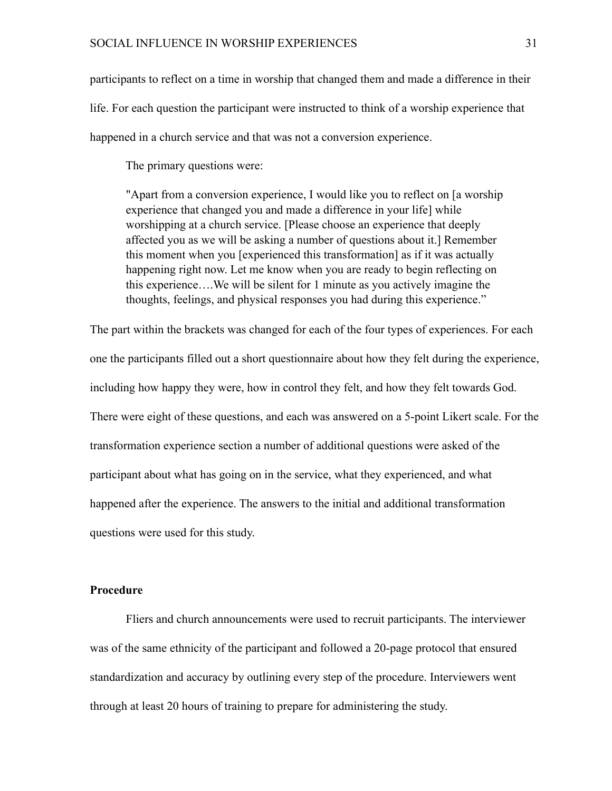participants to reflect on a time in worship that changed them and made a difference in their life. For each question the participant were instructed to think of a worship experience that happened in a church service and that was not a conversion experience.

The primary questions were:

"Apart from a conversion experience, I would like you to reflect on [a worship experience that changed you and made a difference in your life] while worshipping at a church service. [Please choose an experience that deeply affected you as we will be asking a number of questions about it.] Remember this moment when you [experienced this transformation] as if it was actually happening right now. Let me know when you are ready to begin reflecting on this experience….We will be silent for 1 minute as you actively imagine the thoughts, feelings, and physical responses you had during this experience."

The part within the brackets was changed for each of the four types of experiences. For each one the participants filled out a short questionnaire about how they felt during the experience, including how happy they were, how in control they felt, and how they felt towards God. There were eight of these questions, and each was answered on a 5-point Likert scale. For the transformation experience section a number of additional questions were asked of the participant about what has going on in the service, what they experienced, and what happened after the experience. The answers to the initial and additional transformation questions were used for this study.

#### **Procedure**

 Fliers and church announcements were used to recruit participants. The interviewer was of the same ethnicity of the participant and followed a 20-page protocol that ensured standardization and accuracy by outlining every step of the procedure. Interviewers went through at least 20 hours of training to prepare for administering the study.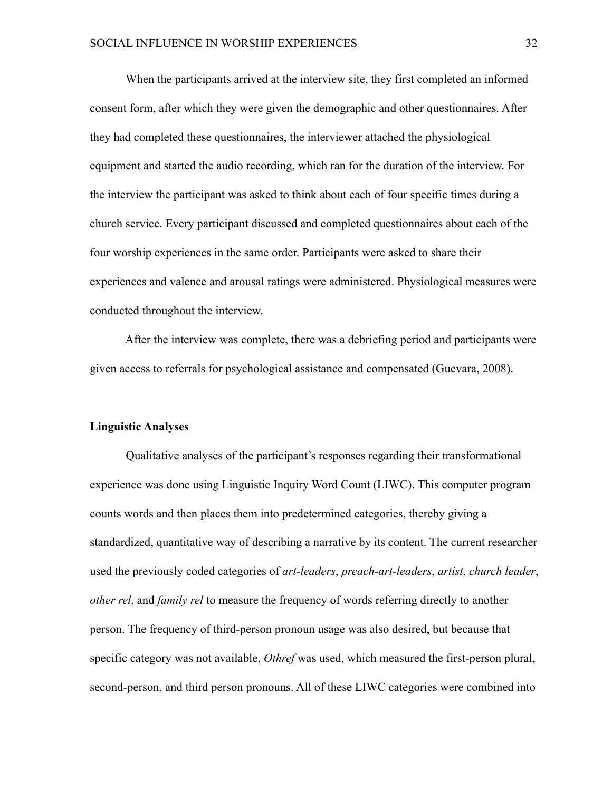When the participants arrived at the interview site, they first completed an informed consent form, after which they were given the demographic and other questionnaires. After they had completed these questionnaires, the interviewer attached the physiological equipment and started the audio recording, which ran for the duration of the interview. For the interview the participant was asked to think about each of four specific times during a church service. Every participant discussed and completed questionnaires about each of the four worship experiences in the same order. Participants were asked to share their experiences and valence and arousal ratings were administered. Physiological measures were conducted throughout the interview.

 After the interview was complete, there was a debriefing period and participants were given access to referrals for psychological assistance and compensated (Guevara, 2008).

#### **Linguistic Analyses**

 Qualitative analyses of the participant's responses regarding their transformational experience was done using Linguistic Inquiry Word Count (LIWC). This computer program counts words and then places them into predetermined categories, thereby giving a standardized, quantitative way of describing a narrative by its content. The current researcher used the previously coded categories of *art-leaders*, *preach-art-leaders*, *artist*, *church leader*, *other rel*, and *family rel* to measure the frequency of words referring directly to another person. The frequency of third-person pronoun usage was also desired, but because that specific category was not available, *Othref* was used, which measured the first-person plural, second-person, and third person pronouns. All of these LIWC categories were combined into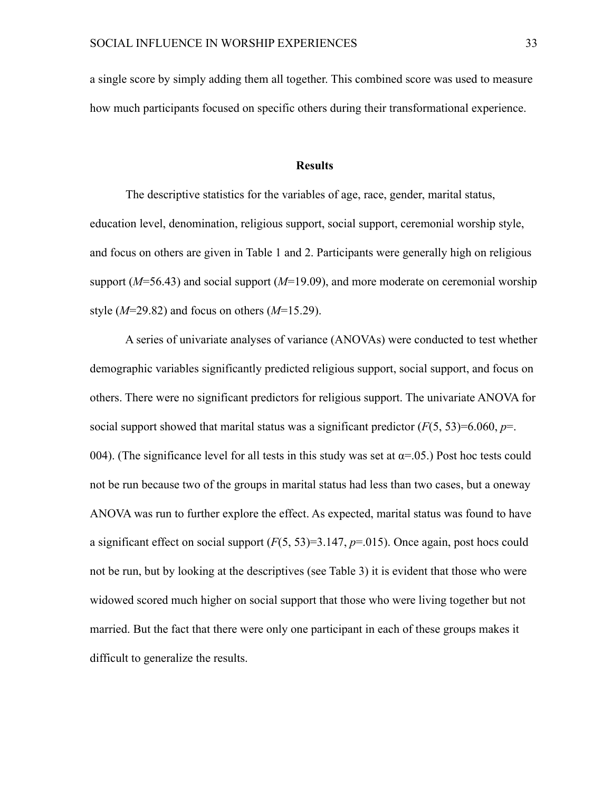a single score by simply adding them all together. This combined score was used to measure how much participants focused on specific others during their transformational experience.

#### **Results**

 The descriptive statistics for the variables of age, race, gender, marital status, education level, denomination, religious support, social support, ceremonial worship style, and focus on others are given in Table 1 and 2. Participants were generally high on religious support  $(M=56.43)$  and social support  $(M=19.09)$ , and more moderate on ceremonial worship style (*M*=29.82) and focus on others (*M*=15.29).

 A series of univariate analyses of variance (ANOVAs) were conducted to test whether demographic variables significantly predicted religious support, social support, and focus on others. There were no significant predictors for religious support. The univariate ANOVA for social support showed that marital status was a significant predictor  $(F(5, 53)=6.060, p=$ . 004). (The significance level for all tests in this study was set at  $\alpha$ =.05.) Post hoc tests could not be run because two of the groups in marital status had less than two cases, but a oneway ANOVA was run to further explore the effect. As expected, marital status was found to have a significant effect on social support (*F*(5, 53)=3.147, *p*=.015). Once again, post hocs could not be run, but by looking at the descriptives (see Table 3) it is evident that those who were widowed scored much higher on social support that those who were living together but not married. But the fact that there were only one participant in each of these groups makes it difficult to generalize the results.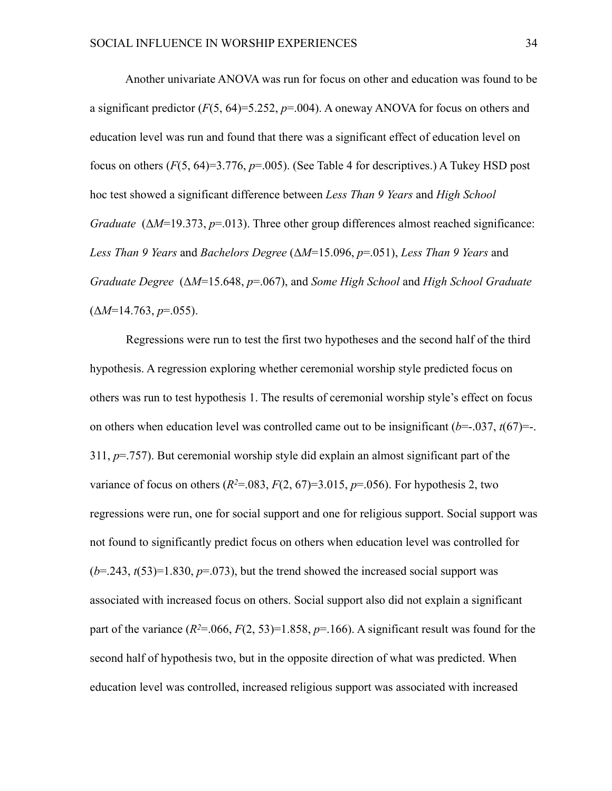Another univariate ANOVA was run for focus on other and education was found to be a significant predictor  $(F(5, 64)=5.252, p=.004)$ . A oneway ANOVA for focus on others and education level was run and found that there was a significant effect of education level on focus on others (*F*(5, 64)=3.776, *p*=.005). (See Table 4 for descriptives.) A Tukey HSD post hoc test showed a significant difference between *Less Than 9 Years* and *High School Graduate* (Δ*M*=19.373, *p*=.013). Three other group differences almost reached significance: *Less Than 9 Years* and *Bachelors Degree* (Δ*M*=15.096, *p*=.051), *Less Than 9 Years* and *Graduate Degree* (Δ*M*=15.648, *p*=.067), and *Some High School* and *High School Graduate*  $(\Delta M=14.763, p=.055)$ .

 Regressions were run to test the first two hypotheses and the second half of the third hypothesis. A regression exploring whether ceremonial worship style predicted focus on others was run to test hypothesis 1. The results of ceremonial worship style's effect on focus on others when education level was controlled came out to be insignificant  $(b=-.037, t(67)=-.$ 311, *p*=.757). But ceremonial worship style did explain an almost significant part of the variance of focus on others  $(R^2 = 0.083, F(2, 67) = 3.015, p = .056)$ . For hypothesis 2, two regressions were run, one for social support and one for religious support. Social support was not found to significantly predict focus on others when education level was controlled for  $(b=243, t(53)=1.830, p=.073)$ , but the trend showed the increased social support was associated with increased focus on others. Social support also did not explain a significant part of the variance  $(R^2=0.066, F(2, 53)=1.858, p=.166)$ . A significant result was found for the second half of hypothesis two, but in the opposite direction of what was predicted. When education level was controlled, increased religious support was associated with increased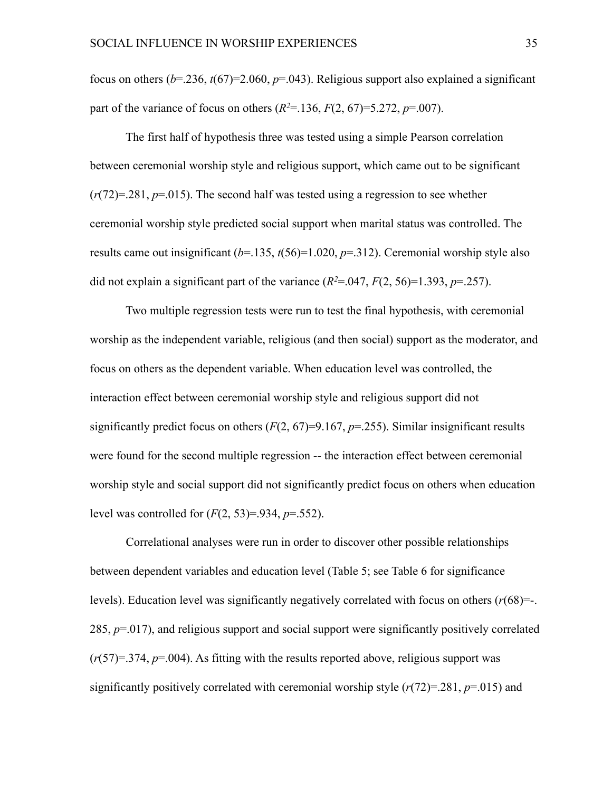focus on others (*b*=.236, *t*(67)=2.060, *p*=.043). Religious support also explained a significant part of the variance of focus on others  $(R^2=136, F(2, 67)=5.272, p=.007)$ .

 The first half of hypothesis three was tested using a simple Pearson correlation between ceremonial worship style and religious support, which came out to be significant  $(r(72)=281, p=015)$ . The second half was tested using a regression to see whether ceremonial worship style predicted social support when marital status was controlled. The results came out insignificant  $(b=135, t(56)=1.020, p=.312)$ . Ceremonial worship style also did not explain a significant part of the variance  $(R^2=0.047, F(2, 56)=1.393, p=.257)$ .

 Two multiple regression tests were run to test the final hypothesis, with ceremonial worship as the independent variable, religious (and then social) support as the moderator, and focus on others as the dependent variable. When education level was controlled, the interaction effect between ceremonial worship style and religious support did not significantly predict focus on others  $(F(2, 67)=9.167, p=.255)$ . Similar insignificant results were found for the second multiple regression -- the interaction effect between ceremonial worship style and social support did not significantly predict focus on others when education level was controlled for (*F*(2, 53)=.934, *p*=.552).

 Correlational analyses were run in order to discover other possible relationships between dependent variables and education level (Table 5; see Table 6 for significance levels). Education level was significantly negatively correlated with focus on others (*r*(68)=-. 285, *p*=.017), and religious support and social support were significantly positively correlated (*r*(57)=.374, *p*=.004). As fitting with the results reported above, religious support was significantly positively correlated with ceremonial worship style (*r*(72)=.281, *p*=.015) and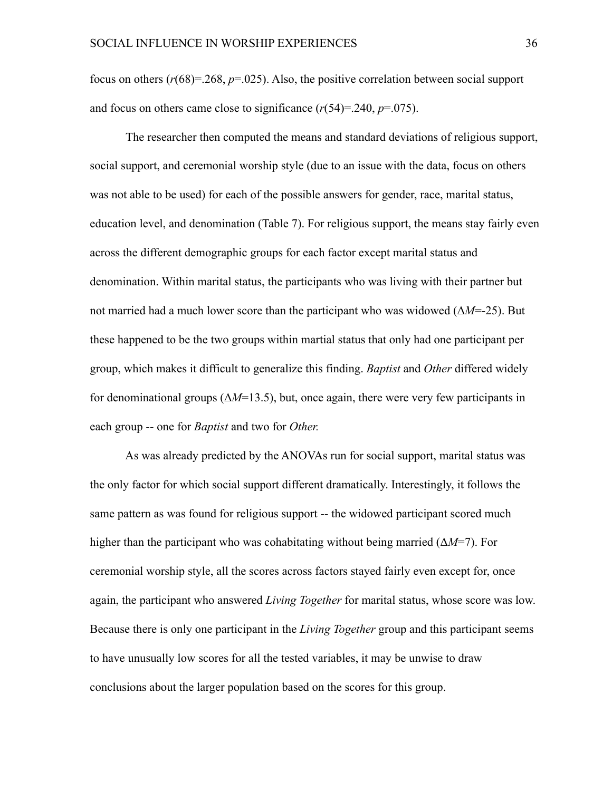focus on others  $(r(68)=0.268, p=.025)$ . Also, the positive correlation between social support and focus on others came close to significance  $(r(54)=0.240, p=0.075)$ .

 The researcher then computed the means and standard deviations of religious support, social support, and ceremonial worship style (due to an issue with the data, focus on others was not able to be used) for each of the possible answers for gender, race, marital status, education level, and denomination (Table 7). For religious support, the means stay fairly even across the different demographic groups for each factor except marital status and denomination. Within marital status, the participants who was living with their partner but not married had a much lower score than the participant who was widowed (Δ*M*=-25). But these happened to be the two groups within martial status that only had one participant per group, which makes it difficult to generalize this finding. *Baptist* and *Other* differed widely for denominational groups  $(\Delta M=13.5)$ , but, once again, there were very few participants in each group -- one for *Baptist* and two for *Other.*

 As was already predicted by the ANOVAs run for social support, marital status was the only factor for which social support different dramatically. Interestingly, it follows the same pattern as was found for religious support -- the widowed participant scored much higher than the participant who was cohabitating without being married (Δ*M*=7). For ceremonial worship style, all the scores across factors stayed fairly even except for, once again, the participant who answered *Living Together* for marital status, whose score was low. Because there is only one participant in the *Living Together* group and this participant seems to have unusually low scores for all the tested variables, it may be unwise to draw conclusions about the larger population based on the scores for this group.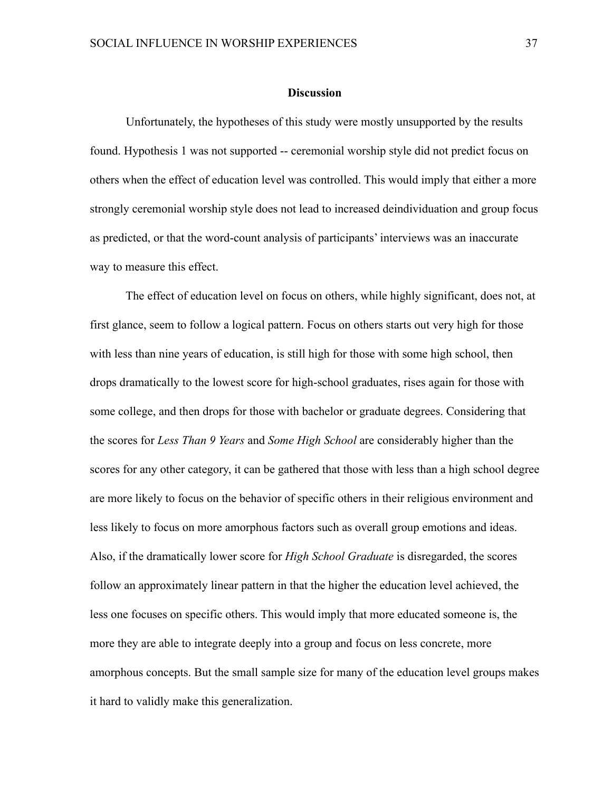#### **Discussion**

 Unfortunately, the hypotheses of this study were mostly unsupported by the results found. Hypothesis 1 was not supported -- ceremonial worship style did not predict focus on others when the effect of education level was controlled. This would imply that either a more strongly ceremonial worship style does not lead to increased deindividuation and group focus as predicted, or that the word-count analysis of participants' interviews was an inaccurate way to measure this effect.

 The effect of education level on focus on others, while highly significant, does not, at first glance, seem to follow a logical pattern. Focus on others starts out very high for those with less than nine years of education, is still high for those with some high school, then drops dramatically to the lowest score for high-school graduates, rises again for those with some college, and then drops for those with bachelor or graduate degrees. Considering that the scores for *Less Than 9 Years* and *Some High School* are considerably higher than the scores for any other category, it can be gathered that those with less than a high school degree are more likely to focus on the behavior of specific others in their religious environment and less likely to focus on more amorphous factors such as overall group emotions and ideas. Also, if the dramatically lower score for *High School Graduate* is disregarded, the scores follow an approximately linear pattern in that the higher the education level achieved, the less one focuses on specific others. This would imply that more educated someone is, the more they are able to integrate deeply into a group and focus on less concrete, more amorphous concepts. But the small sample size for many of the education level groups makes it hard to validly make this generalization.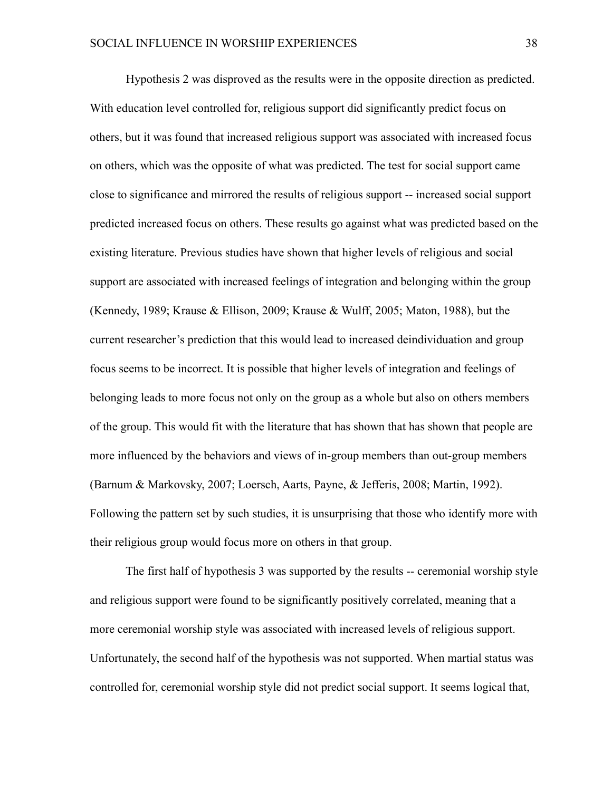Hypothesis 2 was disproved as the results were in the opposite direction as predicted. With education level controlled for, religious support did significantly predict focus on others, but it was found that increased religious support was associated with increased focus on others, which was the opposite of what was predicted. The test for social support came close to significance and mirrored the results of religious support -- increased social support predicted increased focus on others. These results go against what was predicted based on the existing literature. Previous studies have shown that higher levels of religious and social support are associated with increased feelings of integration and belonging within the group (Kennedy, 1989; Krause & Ellison, 2009; Krause & Wulff, 2005; Maton, 1988), but the current researcher's prediction that this would lead to increased deindividuation and group focus seems to be incorrect. It is possible that higher levels of integration and feelings of belonging leads to more focus not only on the group as a whole but also on others members of the group. This would fit with the literature that has shown that has shown that people are more influenced by the behaviors and views of in-group members than out-group members (Barnum & Markovsky, 2007; Loersch, Aarts, Payne, & Jefferis, 2008; Martin, 1992). Following the pattern set by such studies, it is unsurprising that those who identify more with their religious group would focus more on others in that group.

 The first half of hypothesis 3 was supported by the results -- ceremonial worship style and religious support were found to be significantly positively correlated, meaning that a more ceremonial worship style was associated with increased levels of religious support. Unfortunately, the second half of the hypothesis was not supported. When martial status was controlled for, ceremonial worship style did not predict social support. It seems logical that,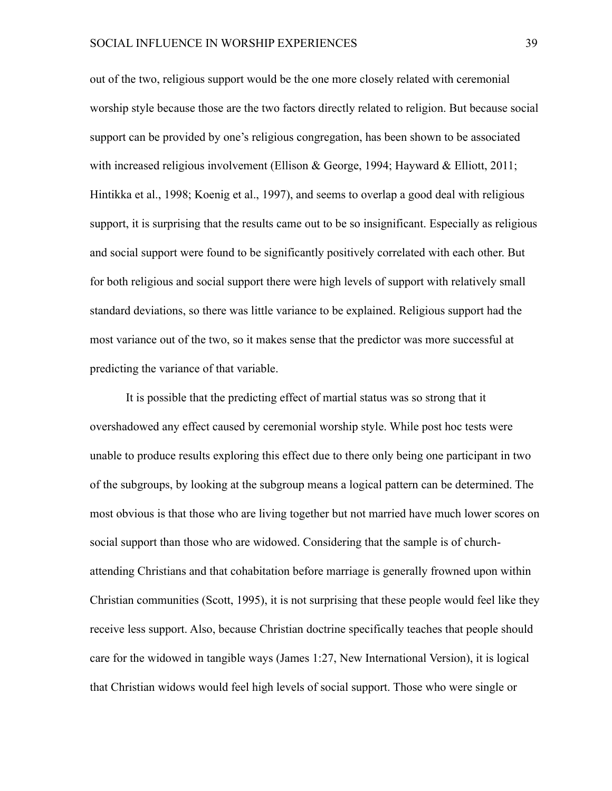out of the two, religious support would be the one more closely related with ceremonial worship style because those are the two factors directly related to religion. But because social support can be provided by one's religious congregation, has been shown to be associated with increased religious involvement (Ellison & George, 1994; Hayward & Elliott, 2011; Hintikka et al., 1998; Koenig et al., 1997), and seems to overlap a good deal with religious support, it is surprising that the results came out to be so insignificant. Especially as religious and social support were found to be significantly positively correlated with each other. But for both religious and social support there were high levels of support with relatively small standard deviations, so there was little variance to be explained. Religious support had the most variance out of the two, so it makes sense that the predictor was more successful at predicting the variance of that variable.

 It is possible that the predicting effect of martial status was so strong that it overshadowed any effect caused by ceremonial worship style. While post hoc tests were unable to produce results exploring this effect due to there only being one participant in two of the subgroups, by looking at the subgroup means a logical pattern can be determined. The most obvious is that those who are living together but not married have much lower scores on social support than those who are widowed. Considering that the sample is of churchattending Christians and that cohabitation before marriage is generally frowned upon within Christian communities (Scott, 1995), it is not surprising that these people would feel like they receive less support. Also, because Christian doctrine specifically teaches that people should care for the widowed in tangible ways (James 1:27, New International Version), it is logical that Christian widows would feel high levels of social support. Those who were single or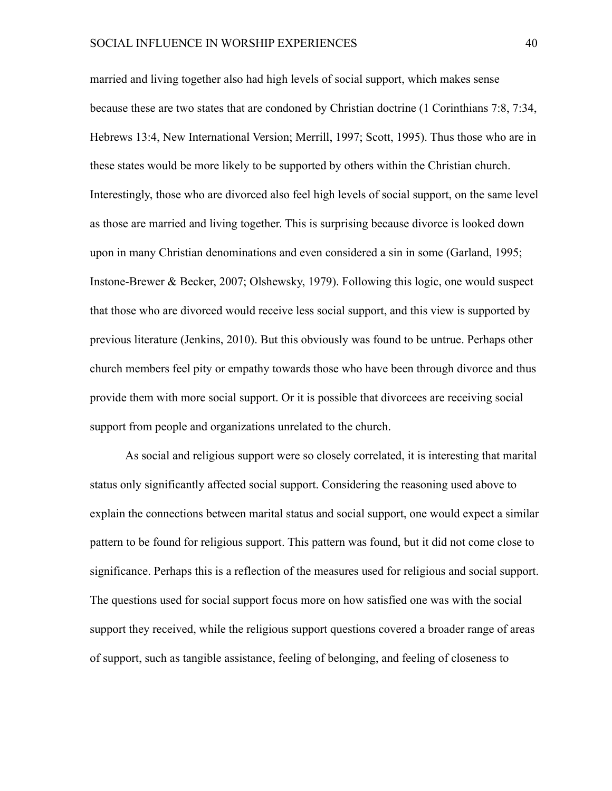married and living together also had high levels of social support, which makes sense because these are two states that are condoned by Christian doctrine (1 Corinthians 7:8, 7:34, Hebrews 13:4, New International Version; Merrill, 1997; Scott, 1995). Thus those who are in these states would be more likely to be supported by others within the Christian church. Interestingly, those who are divorced also feel high levels of social support, on the same level as those are married and living together. This is surprising because divorce is looked down upon in many Christian denominations and even considered a sin in some (Garland, 1995; Instone-Brewer & Becker, 2007; Olshewsky, 1979). Following this logic, one would suspect that those who are divorced would receive less social support, and this view is supported by previous literature (Jenkins, 2010). But this obviously was found to be untrue. Perhaps other church members feel pity or empathy towards those who have been through divorce and thus provide them with more social support. Or it is possible that divorcees are receiving social support from people and organizations unrelated to the church.

 As social and religious support were so closely correlated, it is interesting that marital status only significantly affected social support. Considering the reasoning used above to explain the connections between marital status and social support, one would expect a similar pattern to be found for religious support. This pattern was found, but it did not come close to significance. Perhaps this is a reflection of the measures used for religious and social support. The questions used for social support focus more on how satisfied one was with the social support they received, while the religious support questions covered a broader range of areas of support, such as tangible assistance, feeling of belonging, and feeling of closeness to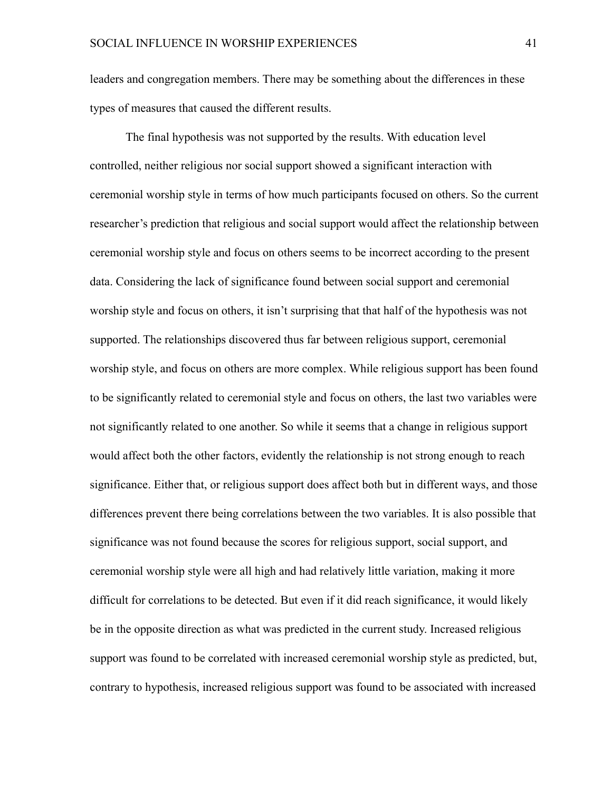leaders and congregation members. There may be something about the differences in these types of measures that caused the different results.

 The final hypothesis was not supported by the results. With education level controlled, neither religious nor social support showed a significant interaction with ceremonial worship style in terms of how much participants focused on others. So the current researcher's prediction that religious and social support would affect the relationship between ceremonial worship style and focus on others seems to be incorrect according to the present data. Considering the lack of significance found between social support and ceremonial worship style and focus on others, it isn't surprising that that half of the hypothesis was not supported. The relationships discovered thus far between religious support, ceremonial worship style, and focus on others are more complex. While religious support has been found to be significantly related to ceremonial style and focus on others, the last two variables were not significantly related to one another. So while it seems that a change in religious support would affect both the other factors, evidently the relationship is not strong enough to reach significance. Either that, or religious support does affect both but in different ways, and those differences prevent there being correlations between the two variables. It is also possible that significance was not found because the scores for religious support, social support, and ceremonial worship style were all high and had relatively little variation, making it more difficult for correlations to be detected. But even if it did reach significance, it would likely be in the opposite direction as what was predicted in the current study. Increased religious support was found to be correlated with increased ceremonial worship style as predicted, but, contrary to hypothesis, increased religious support was found to be associated with increased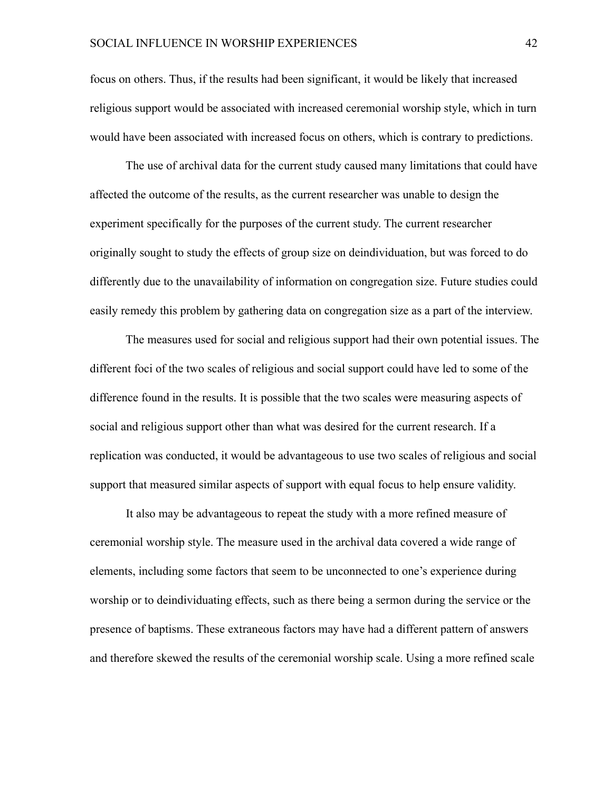focus on others. Thus, if the results had been significant, it would be likely that increased religious support would be associated with increased ceremonial worship style, which in turn would have been associated with increased focus on others, which is contrary to predictions.

 The use of archival data for the current study caused many limitations that could have affected the outcome of the results, as the current researcher was unable to design the experiment specifically for the purposes of the current study. The current researcher originally sought to study the effects of group size on deindividuation, but was forced to do differently due to the unavailability of information on congregation size. Future studies could easily remedy this problem by gathering data on congregation size as a part of the interview.

 The measures used for social and religious support had their own potential issues. The different foci of the two scales of religious and social support could have led to some of the difference found in the results. It is possible that the two scales were measuring aspects of social and religious support other than what was desired for the current research. If a replication was conducted, it would be advantageous to use two scales of religious and social support that measured similar aspects of support with equal focus to help ensure validity.

 It also may be advantageous to repeat the study with a more refined measure of ceremonial worship style. The measure used in the archival data covered a wide range of elements, including some factors that seem to be unconnected to one's experience during worship or to deindividuating effects, such as there being a sermon during the service or the presence of baptisms. These extraneous factors may have had a different pattern of answers and therefore skewed the results of the ceremonial worship scale. Using a more refined scale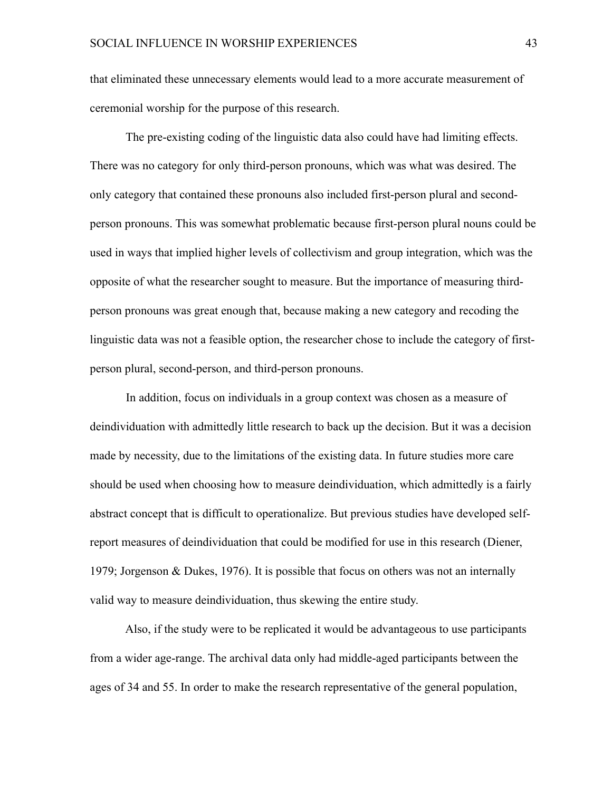that eliminated these unnecessary elements would lead to a more accurate measurement of ceremonial worship for the purpose of this research.

 The pre-existing coding of the linguistic data also could have had limiting effects. There was no category for only third-person pronouns, which was what was desired. The only category that contained these pronouns also included first-person plural and secondperson pronouns. This was somewhat problematic because first-person plural nouns could be used in ways that implied higher levels of collectivism and group integration, which was the opposite of what the researcher sought to measure. But the importance of measuring thirdperson pronouns was great enough that, because making a new category and recoding the linguistic data was not a feasible option, the researcher chose to include the category of firstperson plural, second-person, and third-person pronouns.

 In addition, focus on individuals in a group context was chosen as a measure of deindividuation with admittedly little research to back up the decision. But it was a decision made by necessity, due to the limitations of the existing data. In future studies more care should be used when choosing how to measure deindividuation, which admittedly is a fairly abstract concept that is difficult to operationalize. But previous studies have developed selfreport measures of deindividuation that could be modified for use in this research (Diener, 1979; Jorgenson & Dukes, 1976). It is possible that focus on others was not an internally valid way to measure deindividuation, thus skewing the entire study.

 Also, if the study were to be replicated it would be advantageous to use participants from a wider age-range. The archival data only had middle-aged participants between the ages of 34 and 55. In order to make the research representative of the general population,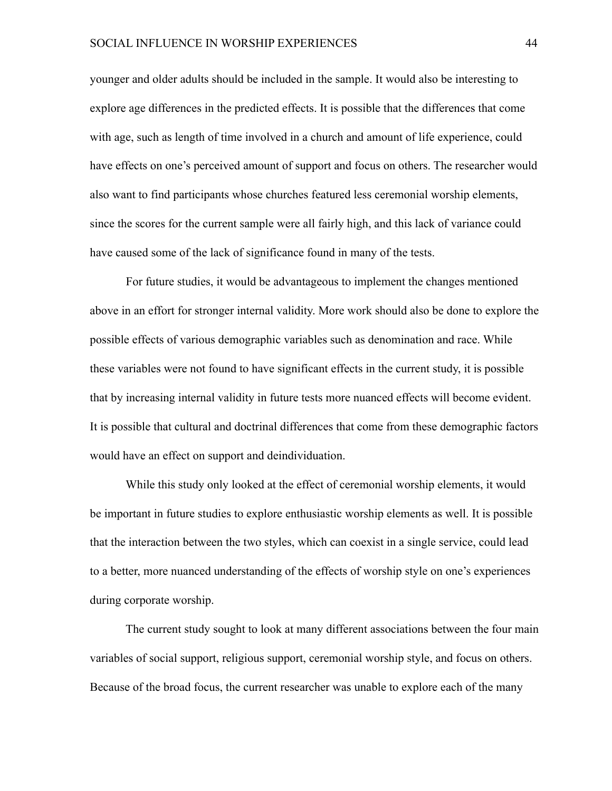younger and older adults should be included in the sample. It would also be interesting to explore age differences in the predicted effects. It is possible that the differences that come with age, such as length of time involved in a church and amount of life experience, could have effects on one's perceived amount of support and focus on others. The researcher would also want to find participants whose churches featured less ceremonial worship elements, since the scores for the current sample were all fairly high, and this lack of variance could have caused some of the lack of significance found in many of the tests.

 For future studies, it would be advantageous to implement the changes mentioned above in an effort for stronger internal validity. More work should also be done to explore the possible effects of various demographic variables such as denomination and race. While these variables were not found to have significant effects in the current study, it is possible that by increasing internal validity in future tests more nuanced effects will become evident. It is possible that cultural and doctrinal differences that come from these demographic factors would have an effect on support and deindividuation.

 While this study only looked at the effect of ceremonial worship elements, it would be important in future studies to explore enthusiastic worship elements as well. It is possible that the interaction between the two styles, which can coexist in a single service, could lead to a better, more nuanced understanding of the effects of worship style on one's experiences during corporate worship.

 The current study sought to look at many different associations between the four main variables of social support, religious support, ceremonial worship style, and focus on others. Because of the broad focus, the current researcher was unable to explore each of the many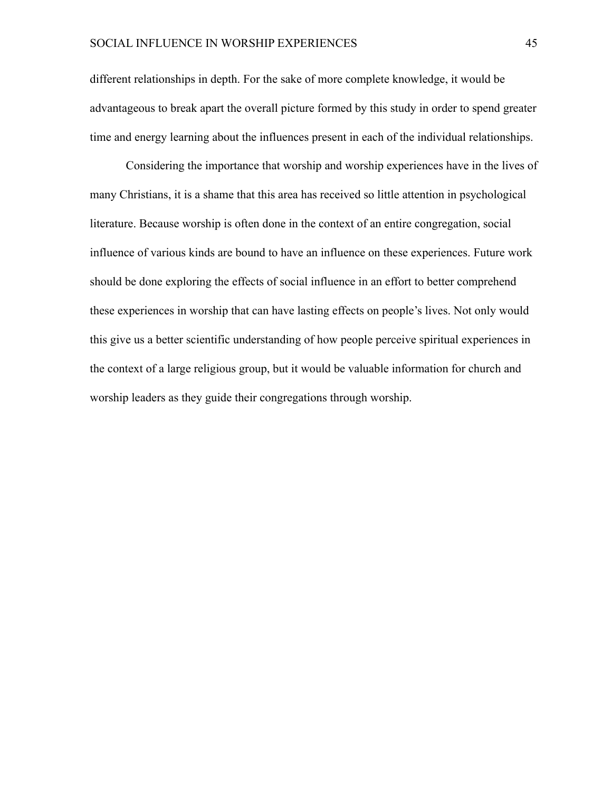different relationships in depth. For the sake of more complete knowledge, it would be advantageous to break apart the overall picture formed by this study in order to spend greater time and energy learning about the influences present in each of the individual relationships.

 Considering the importance that worship and worship experiences have in the lives of many Christians, it is a shame that this area has received so little attention in psychological literature. Because worship is often done in the context of an entire congregation, social influence of various kinds are bound to have an influence on these experiences. Future work should be done exploring the effects of social influence in an effort to better comprehend these experiences in worship that can have lasting effects on people's lives. Not only would this give us a better scientific understanding of how people perceive spiritual experiences in the context of a large religious group, but it would be valuable information for church and worship leaders as they guide their congregations through worship.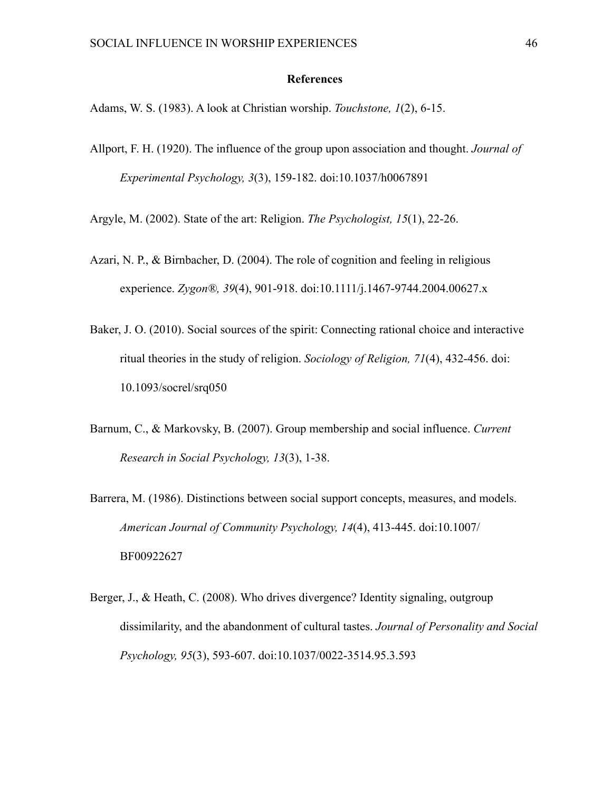#### **References**

Adams, W. S. (1983). A look at Christian worship. *Touchstone, 1*(2), 6-15.

Allport, F. H. (1920). The influence of the group upon association and thought. *Journal of Experimental Psychology, 3*(3), 159-182. doi:10.1037/h0067891

Argyle, M. (2002). State of the art: Religion. *The Psychologist, 15*(1), 22-26.

- Azari, N. P., & Birnbacher, D. (2004). The role of cognition and feeling in religious experience. *Zygon®, 39*(4), 901-918. doi:10.1111/j.1467-9744.2004.00627.x
- Baker, J. O. (2010). Social sources of the spirit: Connecting rational choice and interactive ritual theories in the study of religion. *Sociology of Religion, 71*(4), 432-456. doi: 10.1093/socrel/srq050
- Barnum, C., & Markovsky, B. (2007). Group membership and social influence. *Current Research in Social Psychology, 13*(3), 1-38.
- Barrera, M. (1986). Distinctions between social support concepts, measures, and models. *American Journal of Community Psychology, 14*(4), 413-445. doi:10.1007/ BF00922627
- Berger, J., & Heath, C. (2008). Who drives divergence? Identity signaling, outgroup dissimilarity, and the abandonment of cultural tastes. *Journal of Personality and Social Psychology, 95*(3), 593-607. doi:10.1037/0022-3514.95.3.593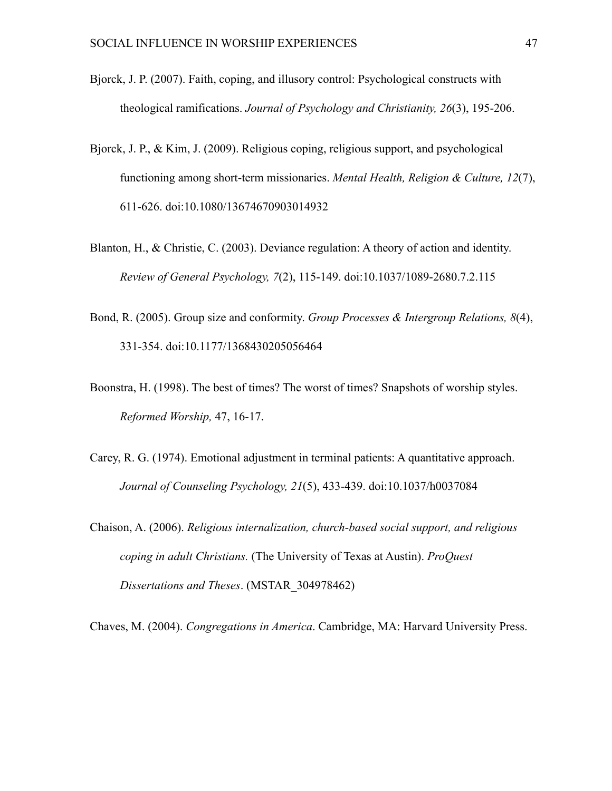- Bjorck, J. P. (2007). Faith, coping, and illusory control: Psychological constructs with theological ramifications. *Journal of Psychology and Christianity, 26*(3), 195-206.
- Bjorck, J. P., & Kim, J. (2009). Religious coping, religious support, and psychological functioning among short-term missionaries. *Mental Health, Religion & Culture, 12*(7), 611-626. doi:10.1080/13674670903014932
- Blanton, H., & Christie, C. (2003). Deviance regulation: A theory of action and identity. *Review of General Psychology, 7*(2), 115-149. doi:10.1037/1089-2680.7.2.115
- Bond, R. (2005). Group size and conformity. *Group Processes & Intergroup Relations, 8*(4), 331-354. doi:10.1177/1368430205056464
- Boonstra, H. (1998). The best of times? The worst of times? Snapshots of worship styles. *Reformed Worship,* 47, 16-17.
- Carey, R. G. (1974). Emotional adjustment in terminal patients: A quantitative approach. *Journal of Counseling Psychology, 21*(5), 433-439. doi:10.1037/h0037084
- Chaison, A. (2006). *Religious internalization, church-based social support, and religious coping in adult Christians.* (The University of Texas at Austin). *ProQuest Dissertations and Theses*. (MSTAR\_304978462)

Chaves, M. (2004). *Congregations in America*. Cambridge, MA: Harvard University Press.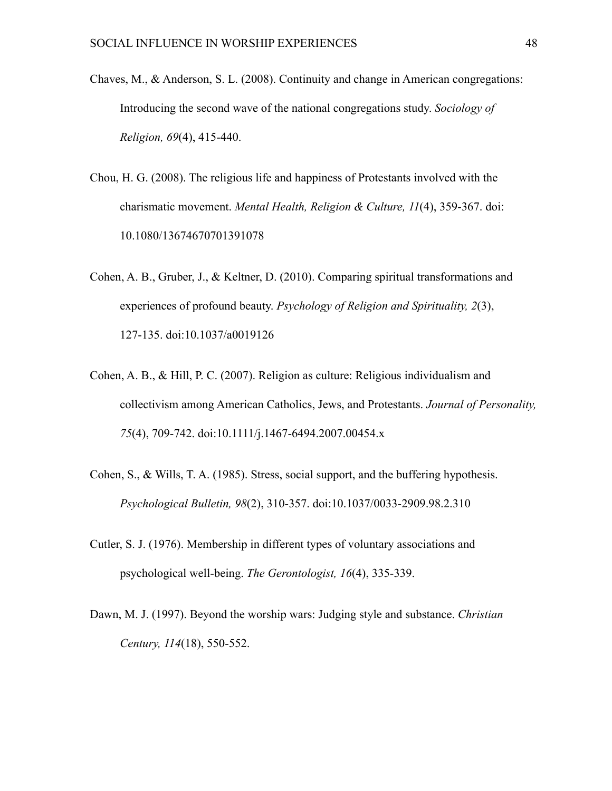- Chaves, M., & Anderson, S. L. (2008). Continuity and change in American congregations: Introducing the second wave of the national congregations study. *Sociology of Religion, 69*(4), 415-440.
- Chou, H. G. (2008). The religious life and happiness of Protestants involved with the charismatic movement. *Mental Health, Religion & Culture, 11*(4), 359-367. doi: 10.1080/13674670701391078
- Cohen, A. B., Gruber, J., & Keltner, D. (2010). Comparing spiritual transformations and experiences of profound beauty. *Psychology of Religion and Spirituality, 2*(3), 127-135. doi:10.1037/a0019126
- Cohen, A. B., & Hill, P. C. (2007). Religion as culture: Religious individualism and collectivism among American Catholics, Jews, and Protestants. *Journal of Personality, 75*(4), 709-742. doi:10.1111/j.1467-6494.2007.00454.x
- Cohen, S., & Wills, T. A. (1985). Stress, social support, and the buffering hypothesis. *Psychological Bulletin, 98*(2), 310-357. doi:10.1037/0033-2909.98.2.310
- Cutler, S. J. (1976). Membership in different types of voluntary associations and psychological well-being. *The Gerontologist, 16*(4), 335-339.
- Dawn, M. J. (1997). Beyond the worship wars: Judging style and substance. *Christian Century, 114*(18), 550-552.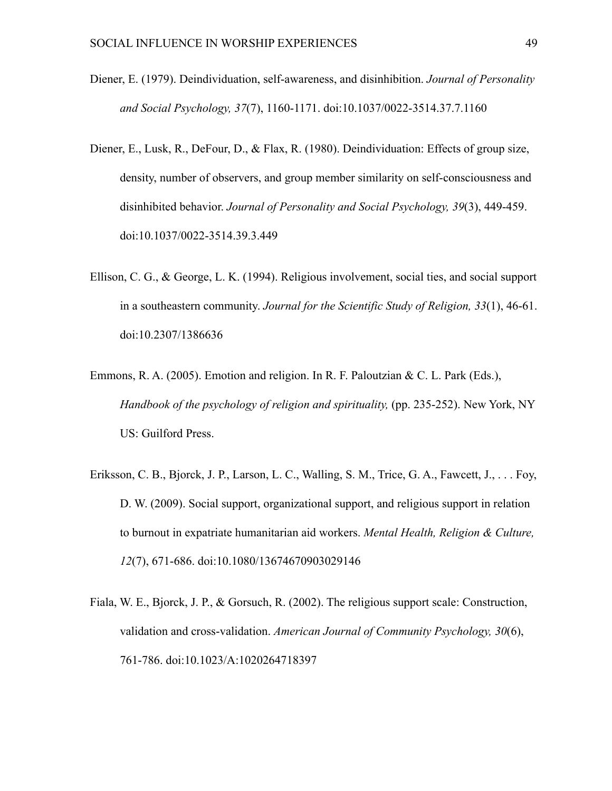- Diener, E. (1979). Deindividuation, self-awareness, and disinhibition. *Journal of Personality and Social Psychology, 37*(7), 1160-1171. doi:10.1037/0022-3514.37.7.1160
- Diener, E., Lusk, R., DeFour, D., & Flax, R. (1980). Deindividuation: Effects of group size, density, number of observers, and group member similarity on self-consciousness and disinhibited behavior. *Journal of Personality and Social Psychology, 39*(3), 449-459. doi:10.1037/0022-3514.39.3.449
- Ellison, C. G., & George, L. K. (1994). Religious involvement, social ties, and social support in a southeastern community. *Journal for the Scientific Study of Religion, 33*(1), 46-61. doi:10.2307/1386636
- Emmons, R. A. (2005). Emotion and religion. In R. F. Paloutzian & C. L. Park (Eds.), *Handbook of the psychology of religion and spirituality,* (pp. 235-252). New York, NY US: Guilford Press.
- Eriksson, C. B., Bjorck, J. P., Larson, L. C., Walling, S. M., Trice, G. A., Fawcett, J., . . . Foy, D. W. (2009). Social support, organizational support, and religious support in relation to burnout in expatriate humanitarian aid workers. *Mental Health, Religion & Culture, 12*(7), 671-686. doi:10.1080/13674670903029146
- Fiala, W. E., Bjorck, J. P., & Gorsuch, R. (2002). The religious support scale: Construction, validation and cross-validation. *American Journal of Community Psychology, 30*(6), 761-786. doi:10.1023/A:1020264718397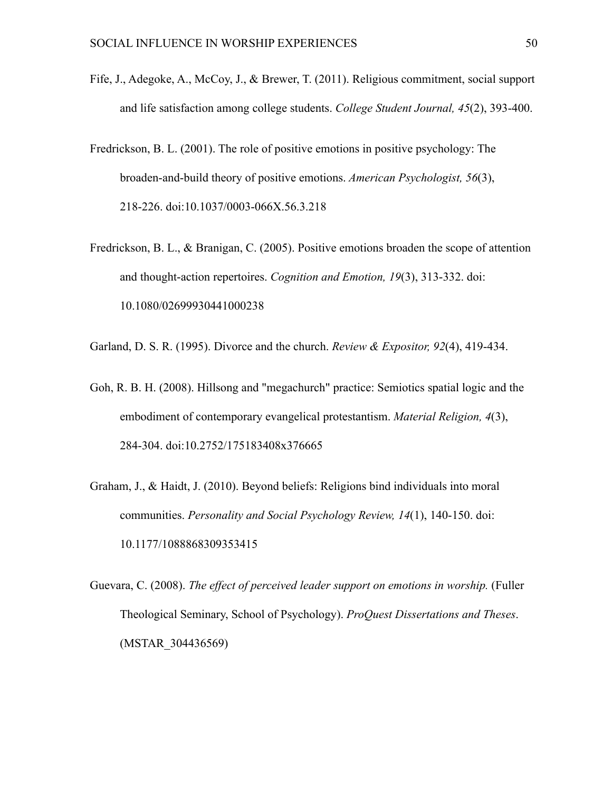- Fife, J., Adegoke, A., McCoy, J., & Brewer, T. (2011). Religious commitment, social support and life satisfaction among college students. *College Student Journal, 45*(2), 393-400.
- Fredrickson, B. L. (2001). The role of positive emotions in positive psychology: The broaden-and-build theory of positive emotions. *American Psychologist, 56*(3), 218-226. doi:10.1037/0003-066X.56.3.218
- Fredrickson, B. L., & Branigan, C. (2005). Positive emotions broaden the scope of attention and thought-action repertoires. *Cognition and Emotion, 19*(3), 313-332. doi: 10.1080/02699930441000238
- Garland, D. S. R. (1995). Divorce and the church. *Review & Expositor, 92*(4), 419-434.
- Goh, R. B. H. (2008). Hillsong and "megachurch" practice: Semiotics spatial logic and the embodiment of contemporary evangelical protestantism. *Material Religion, 4*(3), 284-304. doi:10.2752/175183408x376665
- Graham, J., & Haidt, J. (2010). Beyond beliefs: Religions bind individuals into moral communities. *Personality and Social Psychology Review, 14*(1), 140-150. doi: 10.1177/1088868309353415
- Guevara, C. (2008). *The effect of perceived leader support on emotions in worship.* (Fuller Theological Seminary, School of Psychology). *ProQuest Dissertations and Theses*. (MSTAR\_304436569)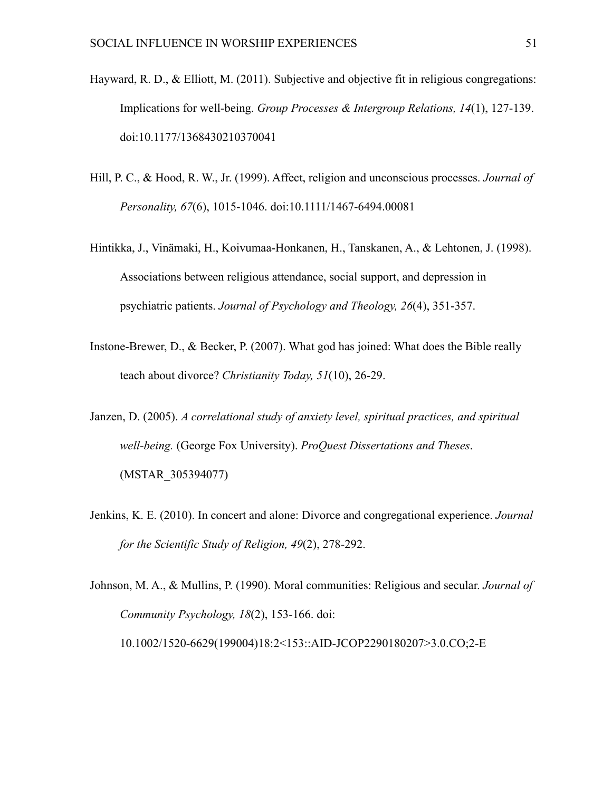- Hayward, R. D., & Elliott, M. (2011). Subjective and objective fit in religious congregations: Implications for well-being. *Group Processes & Intergroup Relations, 14*(1), 127-139. doi:10.1177/1368430210370041
- Hill, P. C., & Hood, R. W., Jr. (1999). Affect, religion and unconscious processes. *Journal of Personality, 67*(6), 1015-1046. doi:10.1111/1467-6494.00081
- Hintikka, J., Vinämaki, H., Koivumaa-Honkanen, H., Tanskanen, A., & Lehtonen, J. (1998). Associations between religious attendance, social support, and depression in psychiatric patients. *Journal of Psychology and Theology, 26*(4), 351-357.
- Instone-Brewer, D., & Becker, P. (2007). What god has joined: What does the Bible really teach about divorce? *Christianity Today, 51*(10), 26-29.
- Janzen, D. (2005). *A correlational study of anxiety level, spiritual practices, and spiritual well-being.* (George Fox University). *ProQuest Dissertations and Theses*. (MSTAR\_305394077)
- Jenkins, K. E. (2010). In concert and alone: Divorce and congregational experience. *Journal for the Scientific Study of Religion, 49*(2), 278-292.

Johnson, M. A., & Mullins, P. (1990). Moral communities: Religious and secular. *Journal of Community Psychology, 18*(2), 153-166. doi: 10.1002/1520-6629(199004)18:2<153::AID-JCOP2290180207>3.0.CO;2-E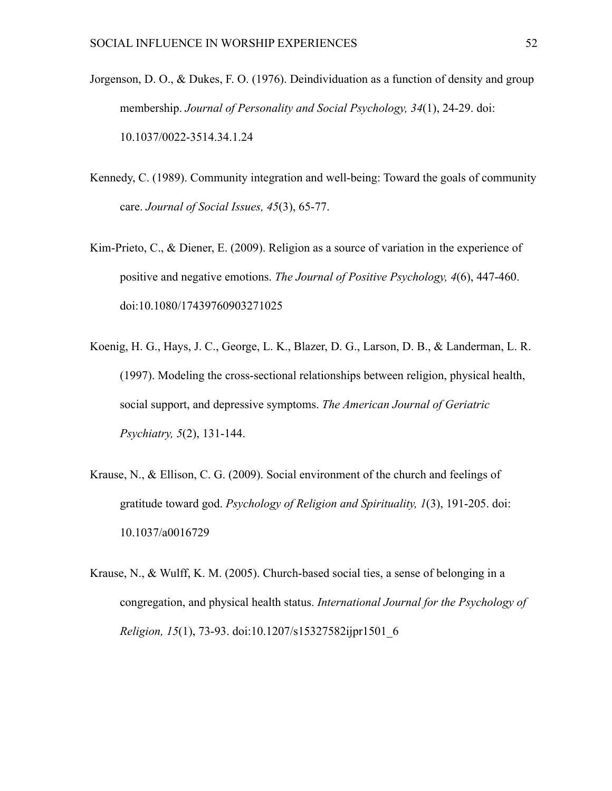- Jorgenson, D. O., & Dukes, F. O. (1976). Deindividuation as a function of density and group membership. *Journal of Personality and Social Psychology, 34*(1), 24-29. doi: 10.1037/0022-3514.34.1.24
- Kennedy, C. (1989). Community integration and well-being: Toward the goals of community care. *Journal of Social Issues, 45*(3), 65-77.
- Kim-Prieto, C., & Diener, E. (2009). Religion as a source of variation in the experience of positive and negative emotions. *The Journal of Positive Psychology, 4*(6), 447-460. doi:10.1080/17439760903271025
- Koenig, H. G., Hays, J. C., George, L. K., Blazer, D. G., Larson, D. B., & Landerman, L. R. (1997). Modeling the cross-sectional relationships between religion, physical health, social support, and depressive symptoms. *The American Journal of Geriatric Psychiatry, 5*(2), 131-144.
- Krause, N., & Ellison, C. G. (2009). Social environment of the church and feelings of gratitude toward god. *Psychology of Religion and Spirituality, 1*(3), 191-205. doi: 10.1037/a0016729
- Krause, N., & Wulff, K. M. (2005). Church-based social ties, a sense of belonging in a congregation, and physical health status. *International Journal for the Psychology of Religion, 15*(1), 73-93. doi:10.1207/s15327582ijpr1501\_6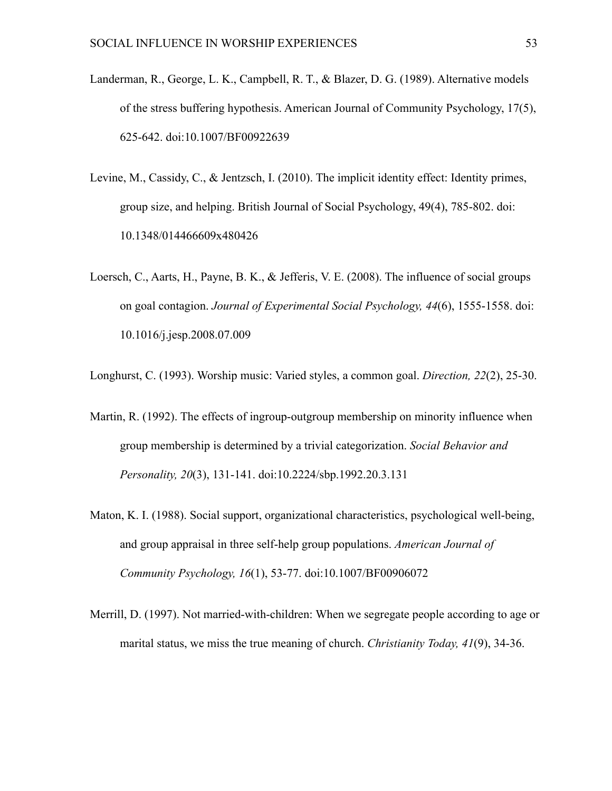- Landerman, R., George, L. K., Campbell, R. T., & Blazer, D. G. (1989). Alternative models of the stress buffering hypothesis. American Journal of Community Psychology, 17(5), 625-642. doi:10.1007/BF00922639
- Levine, M., Cassidy, C., & Jentzsch, I. (2010). The implicit identity effect: Identity primes, group size, and helping. British Journal of Social Psychology, 49(4), 785-802. doi: 10.1348/014466609x480426
- Loersch, C., Aarts, H., Payne, B. K., & Jefferis, V. E. (2008). The influence of social groups on goal contagion. *Journal of Experimental Social Psychology, 44*(6), 1555-1558. doi: 10.1016/j.jesp.2008.07.009

Longhurst, C. (1993). Worship music: Varied styles, a common goal. *Direction, 22*(2), 25-30.

- Martin, R. (1992). The effects of ingroup-outgroup membership on minority influence when group membership is determined by a trivial categorization. *Social Behavior and Personality, 20*(3), 131-141. doi:10.2224/sbp.1992.20.3.131
- Maton, K. I. (1988). Social support, organizational characteristics, psychological well-being, and group appraisal in three self-help group populations. *American Journal of Community Psychology, 16*(1), 53-77. doi:10.1007/BF00906072
- Merrill, D. (1997). Not married-with-children: When we segregate people according to age or marital status, we miss the true meaning of church. *Christianity Today, 41*(9), 34-36.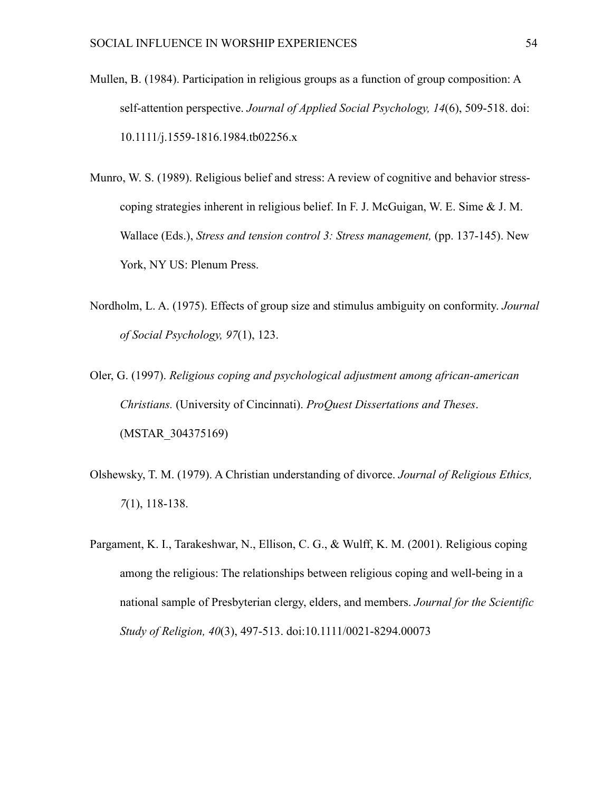- Mullen, B. (1984). Participation in religious groups as a function of group composition: A self-attention perspective. *Journal of Applied Social Psychology, 14*(6), 509-518. doi: 10.1111/j.1559-1816.1984.tb02256.x
- Munro, W. S. (1989). Religious belief and stress: A review of cognitive and behavior stresscoping strategies inherent in religious belief. In F. J. McGuigan, W. E. Sime & J. M. Wallace (Eds.), *Stress and tension control 3: Stress management,* (pp. 137-145). New York, NY US: Plenum Press.
- Nordholm, L. A. (1975). Effects of group size and stimulus ambiguity on conformity. *Journal of Social Psychology, 97*(1), 123.
- Oler, G. (1997). *Religious coping and psychological adjustment among african-american Christians.* (University of Cincinnati). *ProQuest Dissertations and Theses*. (MSTAR\_304375169)
- Olshewsky, T. M. (1979). A Christian understanding of divorce. *Journal of Religious Ethics, 7*(1), 118-138.
- Pargament, K. I., Tarakeshwar, N., Ellison, C. G., & Wulff, K. M. (2001). Religious coping among the religious: The relationships between religious coping and well-being in a national sample of Presbyterian clergy, elders, and members. *Journal for the Scientific Study of Religion, 40*(3), 497-513. doi:10.1111/0021-8294.00073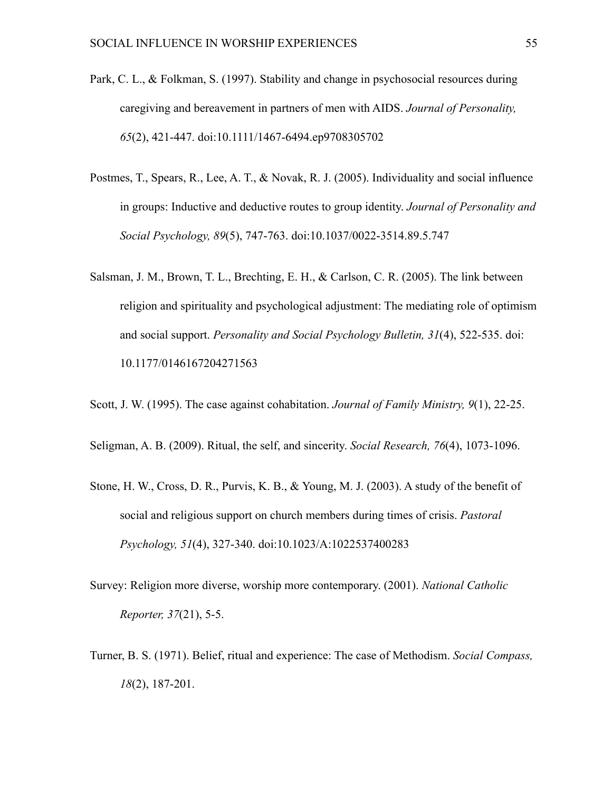- Park, C. L., & Folkman, S. (1997). Stability and change in psychosocial resources during caregiving and bereavement in partners of men with AIDS. *Journal of Personality, 65*(2), 421-447. doi:10.1111/1467-6494.ep9708305702
- Postmes, T., Spears, R., Lee, A. T., & Novak, R. J. (2005). Individuality and social influence in groups: Inductive and deductive routes to group identity. *Journal of Personality and Social Psychology, 89*(5), 747-763. doi:10.1037/0022-3514.89.5.747
- Salsman, J. M., Brown, T. L., Brechting, E. H., & Carlson, C. R. (2005). The link between religion and spirituality and psychological adjustment: The mediating role of optimism and social support. *Personality and Social Psychology Bulletin, 31*(4), 522-535. doi: 10.1177/0146167204271563

Scott, J. W. (1995). The case against cohabitation. *Journal of Family Ministry, 9*(1), 22-25.

Seligman, A. B. (2009). Ritual, the self, and sincerity. *Social Research, 76*(4), 1073-1096.

- Stone, H. W., Cross, D. R., Purvis, K. B., & Young, M. J. (2003). A study of the benefit of social and religious support on church members during times of crisis. *Pastoral Psychology, 51*(4), 327-340. doi:10.1023/A:1022537400283
- Survey: Religion more diverse, worship more contemporary. (2001). *National Catholic Reporter, 37*(21), 5-5.
- Turner, B. S. (1971). Belief, ritual and experience: The case of Methodism. *Social Compass, 18*(2), 187-201.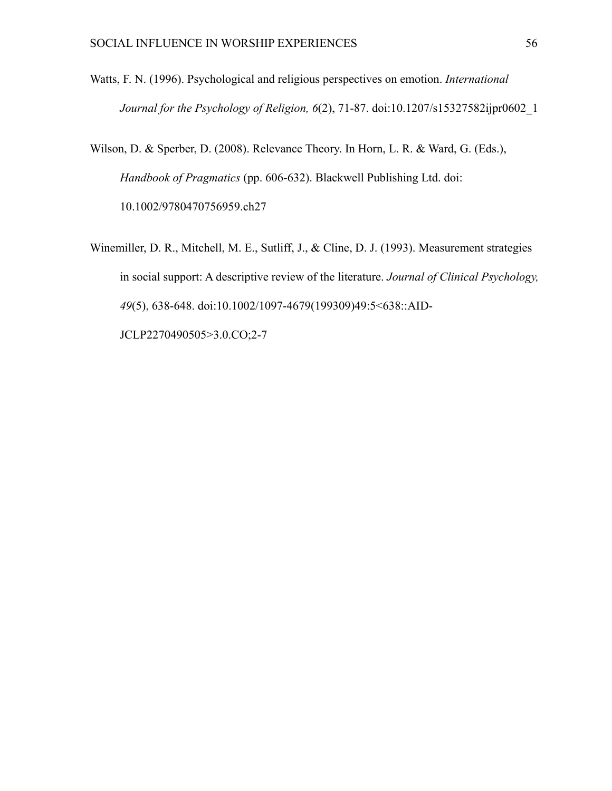- Watts, F. N. (1996). Psychological and religious perspectives on emotion. *International Journal for the Psychology of Religion, 6*(2), 71-87. doi:10.1207/s15327582ijpr0602\_1
- Wilson, D. & Sperber, D. (2008). Relevance Theory. In Horn, L. R. & Ward, G. (Eds.), *Handbook of Pragmatics* (pp. 606-632). Blackwell Publishing Ltd. doi: 10.1002/9780470756959.ch27
- Winemiller, D. R., Mitchell, M. E., Sutliff, J., & Cline, D. J. (1993). Measurement strategies in social support: A descriptive review of the literature. *Journal of Clinical Psychology, 49*(5), 638-648. doi:10.1002/1097-4679(199309)49:5<638::AID-JCLP2270490505>3.0.CO;2-7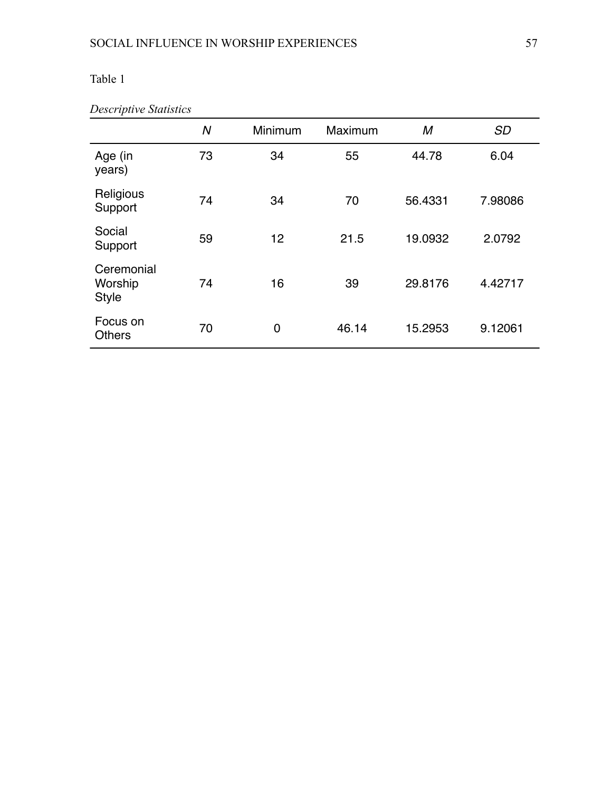| Descriptive Statistics |  |
|------------------------|--|
|------------------------|--|

|                                       | N  | Minimum | Maximum | M       | <b>SD</b> |
|---------------------------------------|----|---------|---------|---------|-----------|
| Age (in<br>years)                     | 73 | 34      | 55      | 44.78   | 6.04      |
| Religious<br>Support                  | 74 | 34      | 70      | 56.4331 | 7.98086   |
| Social<br>Support                     | 59 | 12      | 21.5    | 19.0932 | 2.0792    |
| Ceremonial<br>Worship<br><b>Style</b> | 74 | 16      | 39      | 29.8176 | 4.42717   |
| Focus on<br><b>Others</b>             | 70 | 0       | 46.14   | 15.2953 | 9.12061   |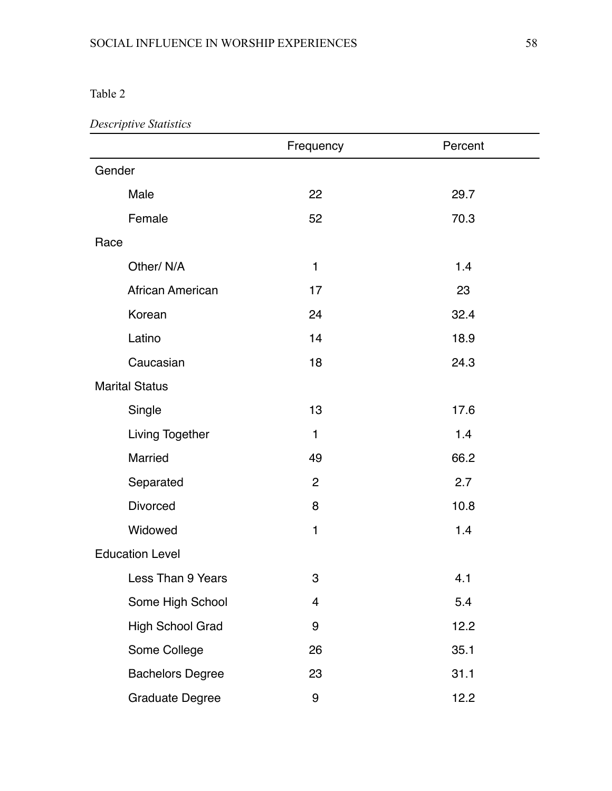## *Descriptive Statistics*

|                         | Frequency      | Percent |
|-------------------------|----------------|---------|
| Gender                  |                |         |
| Male                    | 22             | 29.7    |
| Female                  | 52             | 70.3    |
| Race                    |                |         |
| Other/N/A               | 1              | 1.4     |
| African American        | 17             | 23      |
| Korean                  | 24             | 32.4    |
| Latino                  | 14             | 18.9    |
| Caucasian               | 18             | 24.3    |
| <b>Marital Status</b>   |                |         |
| Single                  | 13             | 17.6    |
| Living Together         | 1              | 1.4     |
| Married                 | 49             | 66.2    |
| Separated               | $\overline{2}$ | 2.7     |
| <b>Divorced</b>         | 8              | 10.8    |
| Widowed                 | 1              | 1.4     |
| <b>Education Level</b>  |                |         |
| Less Than 9 Years       | 3              | 4.1     |
| Some High School        | 4              | 5.4     |
| High School Grad        | 9              | 12.2    |
| Some College            | 26             | 35.1    |
| <b>Bachelors Degree</b> | 23             | 31.1    |
| <b>Graduate Degree</b>  | 9              | 12.2    |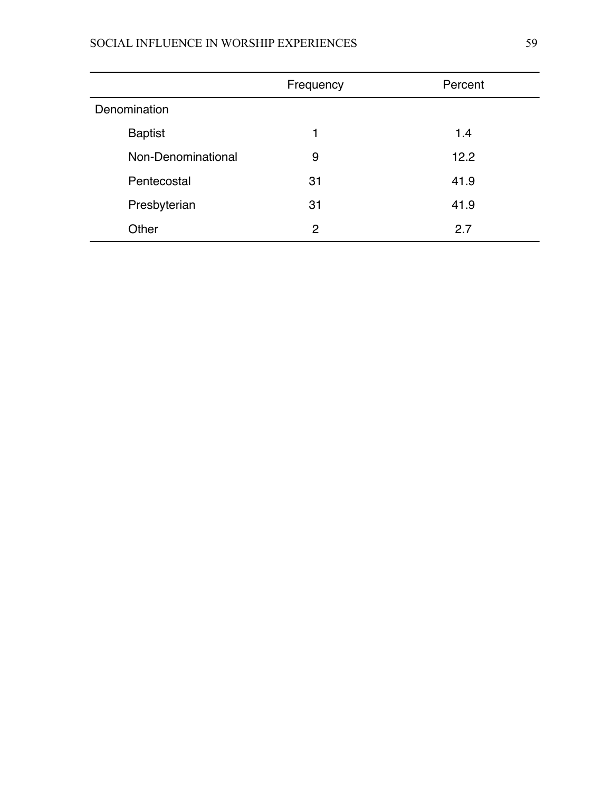## SOCIAL INFLUENCE IN WORSHIP EXPERIENCES 59

|                    | Frequency | Percent |
|--------------------|-----------|---------|
| Denomination       |           |         |
| <b>Baptist</b>     | 1         | 1.4     |
| Non-Denominational | 9         | 12.2    |
| Pentecostal        | 31        | 41.9    |
| Presbyterian       | 31        | 41.9    |
| Other              | 2         | 2.7     |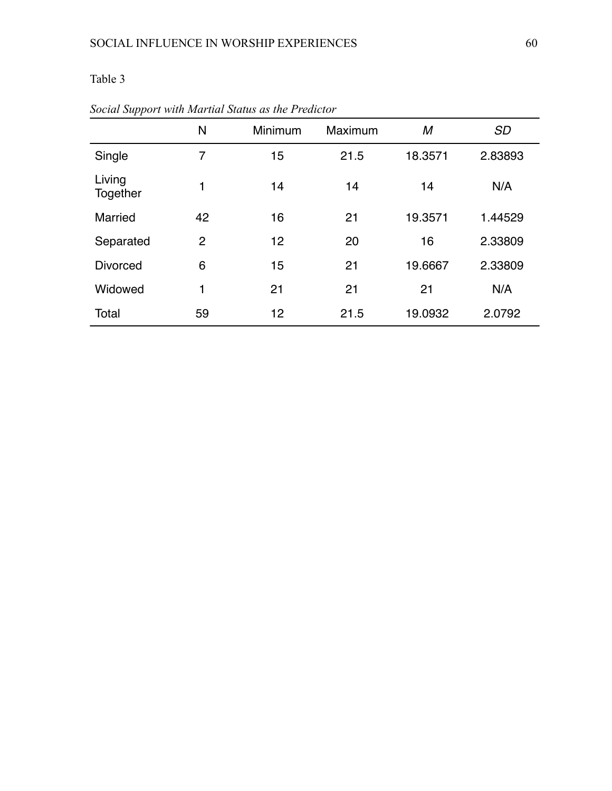|                    | N              | Minimum | Maximum | М       | <b>SD</b> |
|--------------------|----------------|---------|---------|---------|-----------|
| Single             | 7              | 15      | 21.5    | 18.3571 | 2.83893   |
| Living<br>Together | 1              | 14      | 14      | 14      | N/A       |
| Married            | 42             | 16      | 21      | 19.3571 | 1.44529   |
| Separated          | $\overline{2}$ | 12      | 20      | 16      | 2.33809   |
| <b>Divorced</b>    | 6              | 15      | 21      | 19.6667 | 2.33809   |
| Widowed            | 1              | 21      | 21      | 21      | N/A       |
| Total              | 59             | 12      | 21.5    | 19.0932 | 2.0792    |

*Social Support with Martial Status as the Predictor*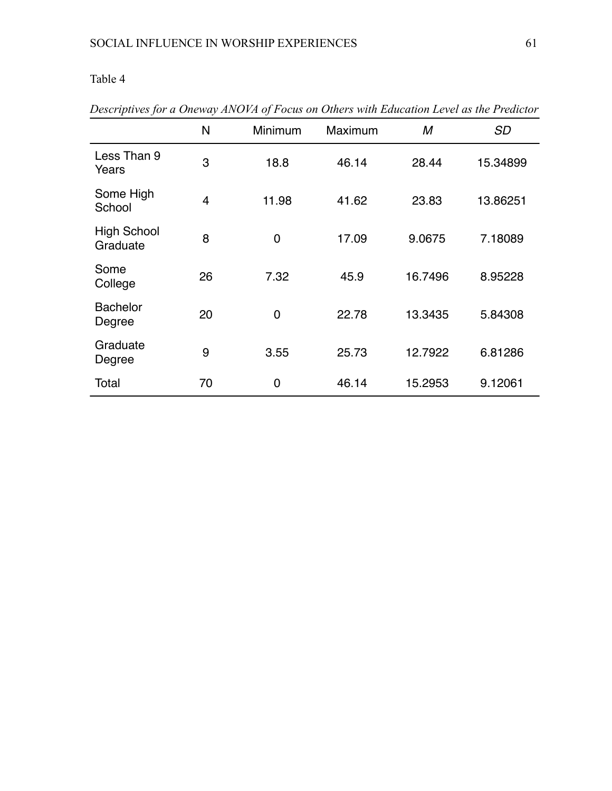|                                | N              | Minimum        | Maximum |         | <b>SD</b> |
|--------------------------------|----------------|----------------|---------|---------|-----------|
| Less Than 9<br>Years           | 3              | 18.8           | 46.14   | 28.44   | 15.34899  |
| Some High<br>School            | $\overline{4}$ | 11.98          | 41.62   | 23.83   | 13.86251  |
| <b>High School</b><br>Graduate | 8              | $\overline{0}$ | 17.09   | 9.0675  | 7.18089   |
| Some<br>College                | 26             | 7.32           | 45.9    | 16.7496 | 8.95228   |
| <b>Bachelor</b><br>Degree      | 20             | $\overline{0}$ | 22.78   | 13.3435 | 5.84308   |
| Graduate<br>Degree             | 9              | 3.55           | 25.73   | 12.7922 | 6.81286   |
| Total                          | 70             | $\overline{0}$ | 46.14   | 15.2953 | 9.12061   |

*Descriptives for a Oneway ANOVA of Focus on Others with Education Level as the Predictor*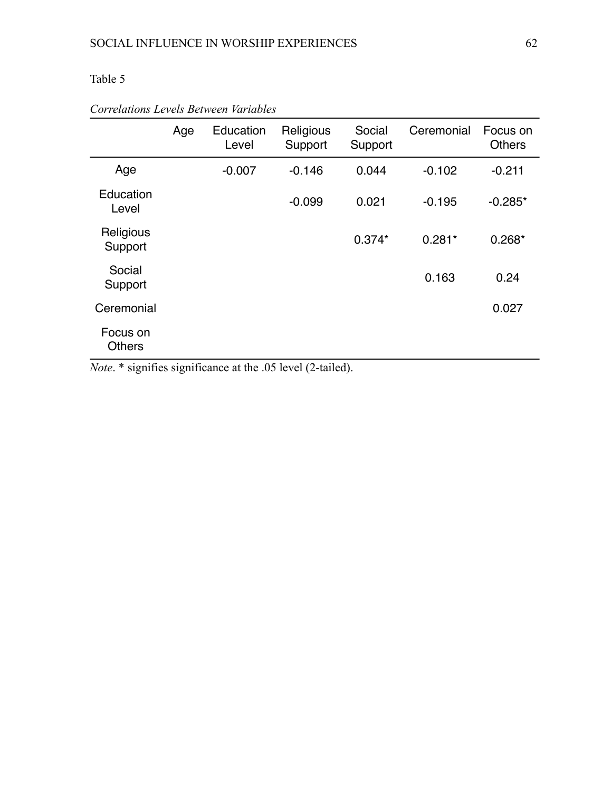|                           | Age | Education<br>Level | Religious<br>Support | Social<br>Support | Ceremonial | Focus on<br><b>Others</b> |
|---------------------------|-----|--------------------|----------------------|-------------------|------------|---------------------------|
| Age                       |     | $-0.007$           | $-0.146$             | 0.044             | $-0.102$   | $-0.211$                  |
| Education<br>Level        |     |                    | $-0.099$             | 0.021             | $-0.195$   | $-0.285*$                 |
| Religious<br>Support      |     |                    |                      | $0.374*$          | $0.281*$   | $0.268*$                  |
| Social<br>Support         |     |                    |                      |                   | 0.163      | 0.24                      |
| Ceremonial                |     |                    |                      |                   |            | 0.027                     |
| Focus on<br><b>Others</b> |     |                    |                      |                   |            |                           |

## *Correlations Levels Between Variables*

*Note*. \* signifies significance at the .05 level (2-tailed).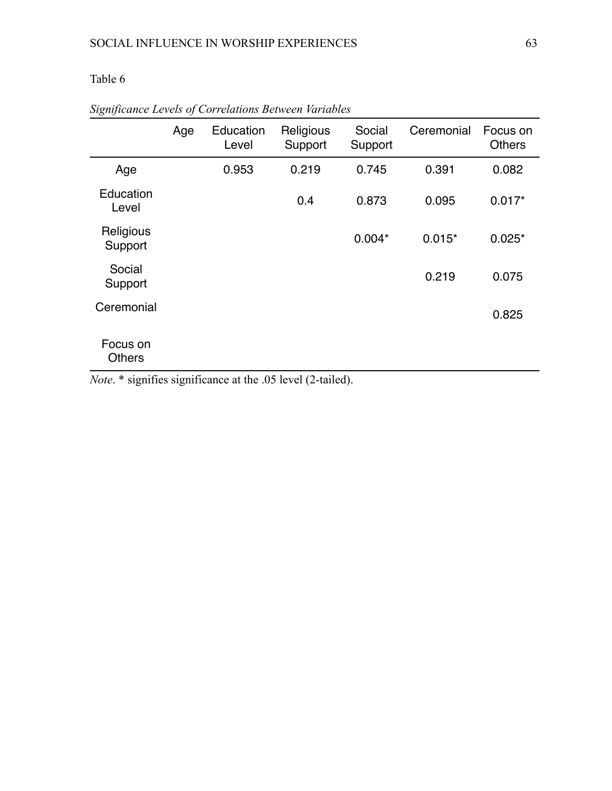|                           | Age | Education<br>Level | Religious<br>Support | Social<br>Support | Ceremonial | Focus on<br><b>Others</b> |
|---------------------------|-----|--------------------|----------------------|-------------------|------------|---------------------------|
| Age                       |     | 0.953              | 0.219                | 0.745             | 0.391      | 0.082                     |
| Education<br>Level        |     |                    | 0.4                  | 0.873             | 0.095      | $0.017*$                  |
| Religious<br>Support      |     |                    |                      | $0.004*$          | $0.015*$   | $0.025*$                  |
| Social<br>Support         |     |                    |                      |                   | 0.219      | 0.075                     |
| Ceremonial                |     |                    |                      |                   |            | 0.825                     |
| Focus on<br><b>Others</b> |     |                    |                      |                   |            |                           |

*Significance Levels of Correlations Between Variables*

*Note*. \* signifies significance at the .05 level (2-tailed).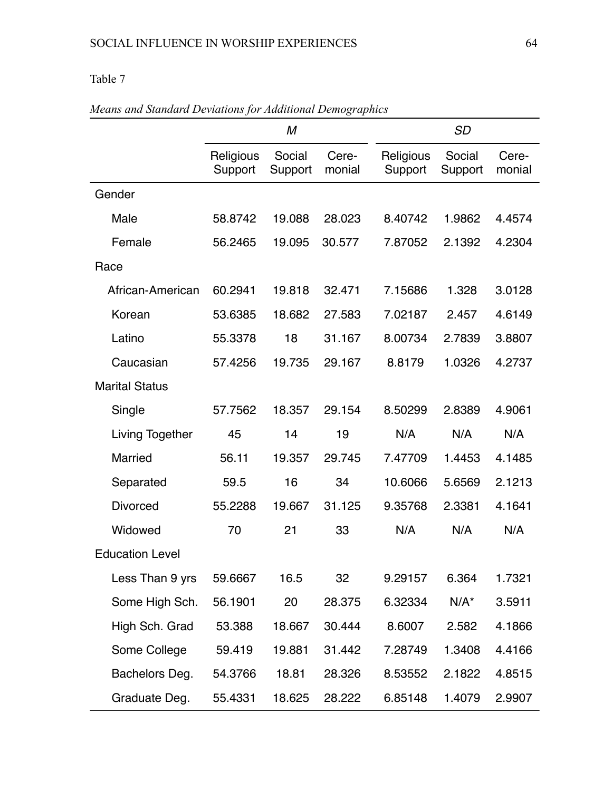|                        | M                    |                   |                 |                      | <b>SD</b>         |                 |  |  |
|------------------------|----------------------|-------------------|-----------------|----------------------|-------------------|-----------------|--|--|
|                        | Religious<br>Support | Social<br>Support | Cere-<br>monial | Religious<br>Support | Social<br>Support | Cere-<br>monial |  |  |
| Gender                 |                      |                   |                 |                      |                   |                 |  |  |
| Male                   | 58.8742              | 19.088            | 28.023          | 8.40742              | 1.9862            | 4.4574          |  |  |
| Female                 | 56.2465              | 19.095            | 30.577          | 7.87052              | 2.1392            | 4.2304          |  |  |
| Race                   |                      |                   |                 |                      |                   |                 |  |  |
| African-American       | 60.2941              | 19.818            | 32.471          | 7.15686              | 1.328             | 3.0128          |  |  |
| Korean                 | 53.6385              | 18.682            | 27.583          | 7.02187              | 2.457             | 4.6149          |  |  |
| Latino                 | 55.3378              | 18                | 31.167          | 8.00734              | 2.7839            | 3.8807          |  |  |
| Caucasian              | 57.4256              | 19.735            | 29.167          | 8.8179               | 1.0326            | 4.2737          |  |  |
| <b>Marital Status</b>  |                      |                   |                 |                      |                   |                 |  |  |
| Single                 | 57.7562              | 18.357            | 29.154          | 8.50299              | 2.8389            | 4.9061          |  |  |
| Living Together        | 45                   | 14                | 19              | N/A                  | N/A               | N/A             |  |  |
| <b>Married</b>         | 56.11                | 19.357            | 29.745          | 7.47709              | 1.4453            | 4.1485          |  |  |
| Separated              | 59.5                 | 16                | 34              | 10.6066              | 5.6569            | 2.1213          |  |  |
| <b>Divorced</b>        | 55.2288              | 19.667            | 31.125          | 9.35768              | 2.3381            | 4.1641          |  |  |
| Widowed                | 70                   | 21                | 33              | N/A                  | N/A               | N/A             |  |  |
| <b>Education Level</b> |                      |                   |                 |                      |                   |                 |  |  |
| Less Than 9 yrs        | 59.6667              | 16.5              | 32              | 9.29157              | 6.364             | 1.7321          |  |  |
| Some High Sch.         | 56.1901              | 20                | 28.375          | 6.32334              | $N/A^*$           | 3.5911          |  |  |
| High Sch. Grad         | 53.388               | 18.667            | 30.444          | 8.6007               | 2.582             | 4.1866          |  |  |
| Some College           | 59.419               | 19.881            | 31.442          | 7.28749              | 1.3408            | 4.4166          |  |  |
| Bachelors Deg.         | 54.3766              | 18.81             | 28.326          | 8.53552              | 2.1822            | 4.8515          |  |  |
| Graduate Deg.          | 55.4331              | 18.625            | 28.222          | 6.85148              | 1.4079            | 2.9907          |  |  |

## *Means and Standard Deviations for Additional Demographics*